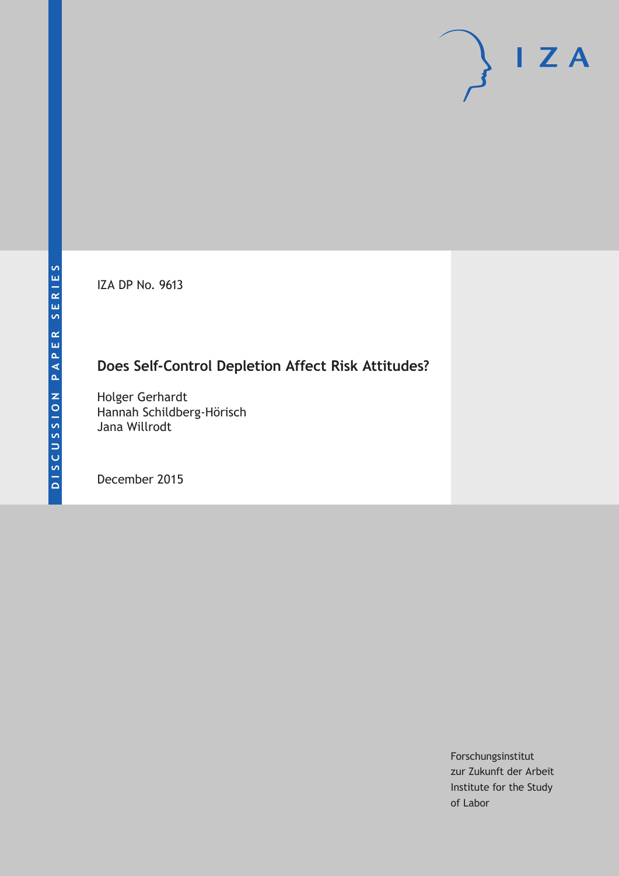IZA DP No. 9613

# **Does Self-Control Depletion Affect Risk Attitudes?**

Holger Gerhardt Hannah Schildberg-Hörisch Jana Willrodt

December 2015

Forschungsinstitut zur Zukunft der Arbeit Institute for the Study of Labor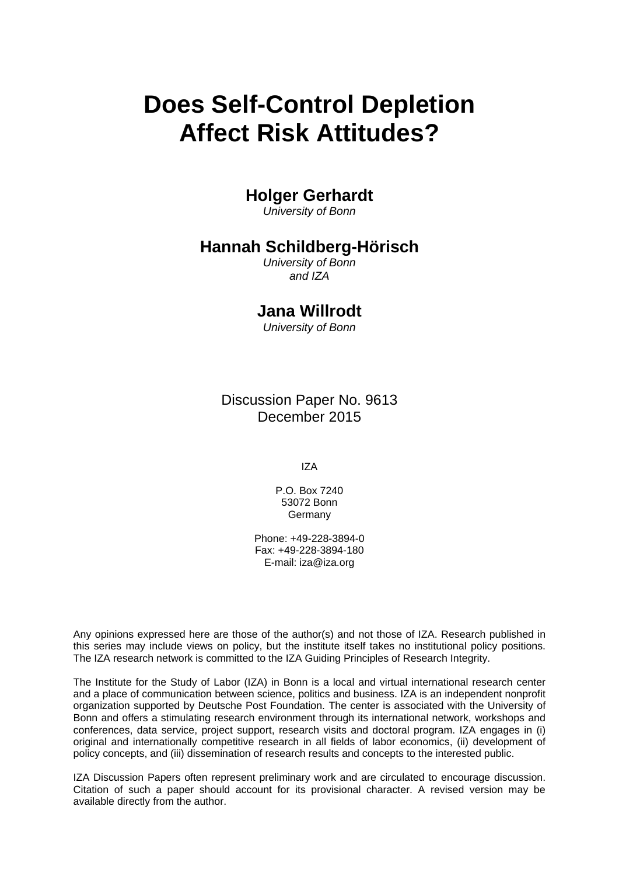# **Does Self-Control Depletion Affect Risk Attitudes?**

# **Holger Gerhardt**

*University of Bonn* 

# **Hannah Schildberg-Hörisch**

*University of Bonn and IZA* 

## **Jana Willrodt**

*University of Bonn*

Discussion Paper No. 9613 December 2015

IZA

P.O. Box 7240 53072 Bonn Germany

Phone: +49-228-3894-0 Fax: +49-228-3894-180 E-mail: iza@iza.org

Any opinions expressed here are those of the author(s) and not those of IZA. Research published in this series may include views on policy, but the institute itself takes no institutional policy positions. The IZA research network is committed to the IZA Guiding Principles of Research Integrity.

The Institute for the Study of Labor (IZA) in Bonn is a local and virtual international research center and a place of communication between science, politics and business. IZA is an independent nonprofit organization supported by Deutsche Post Foundation. The center is associated with the University of Bonn and offers a stimulating research environment through its international network, workshops and conferences, data service, project support, research visits and doctoral program. IZA engages in (i) original and internationally competitive research in all fields of labor economics, (ii) development of policy concepts, and (iii) dissemination of research results and concepts to the interested public.

IZA Discussion Papers often represent preliminary work and are circulated to encourage discussion. Citation of such a paper should account for its provisional character. A revised version may be available directly from the author.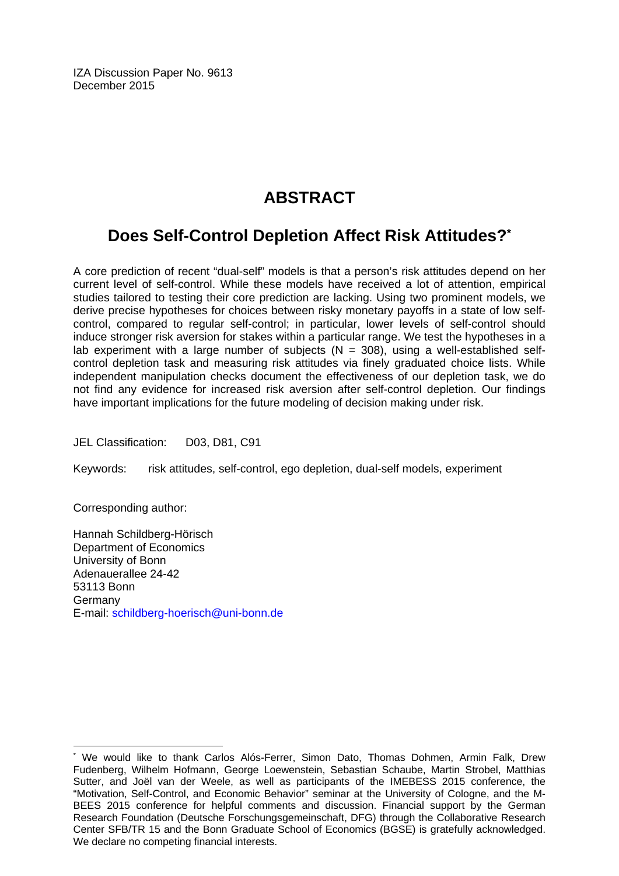IZA Discussion Paper No. 9613 December 2015

# **ABSTRACT**

# **Does Self-Control Depletion Affect Risk Attitudes?\***

A core prediction of recent "dual-self" models is that a person's risk attitudes depend on her current level of self-control. While these models have received a lot of attention, empirical studies tailored to testing their core prediction are lacking. Using two prominent models, we derive precise hypotheses for choices between risky monetary payoffs in a state of low selfcontrol, compared to regular self-control; in particular, lower levels of self-control should induce stronger risk aversion for stakes within a particular range. We test the hypotheses in a lab experiment with a large number of subjects ( $N = 308$ ), using a well-established selfcontrol depletion task and measuring risk attitudes via finely graduated choice lists. While independent manipulation checks document the effectiveness of our depletion task, we do not find any evidence for increased risk aversion after self-control depletion. Our findings have important implications for the future modeling of decision making under risk.

JEL Classification: D03, D81, C91

Keywords: risk attitudes, self-control, ego depletion, dual-self models, experiment

Corresponding author:

 $\overline{a}$ 

Hannah Schildberg-Hörisch Department of Economics University of Bonn Adenauerallee 24-42 53113 Bonn Germany E-mail: schildberg-hoerisch@uni-bonn.de

<sup>\*</sup> We would like to thank Carlos Alós-Ferrer, Simon Dato, Thomas Dohmen, Armin Falk, Drew Fudenberg, Wilhelm Hofmann, George Loewenstein, Sebastian Schaube, Martin Strobel, Matthias Sutter, and Joël van der Weele, as well as participants of the IMEBESS 2015 conference, the "Motivation, Self-Control, and Economic Behavior" seminar at the University of Cologne, and the M-BEES 2015 conference for helpful comments and discussion. Financial support by the German Research Foundation (Deutsche Forschungsgemeinschaft, DFG) through the Collaborative Research Center SFB/TR 15 and the Bonn Graduate School of Economics (BGSE) is gratefully acknowledged. We declare no competing financial interests.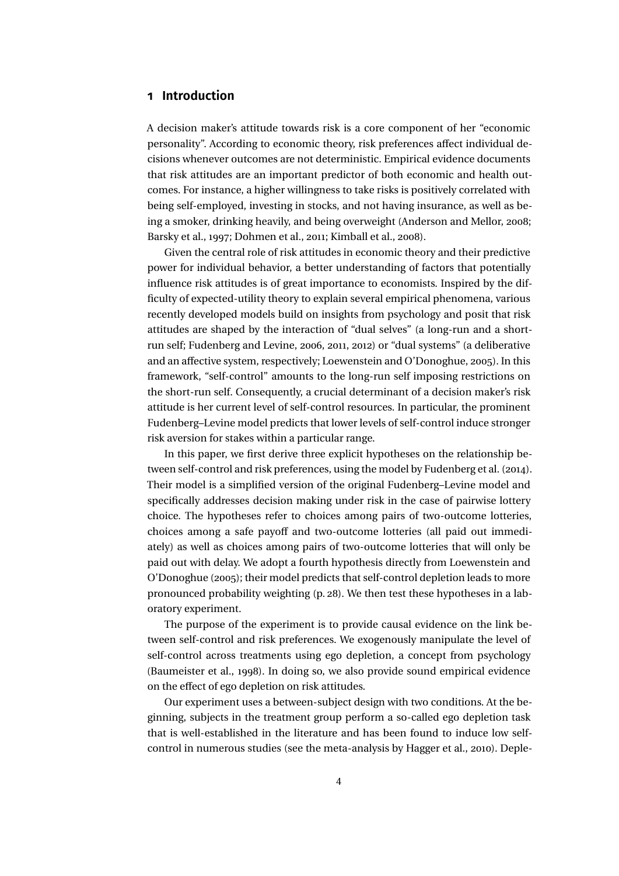#### <span id="page-3-0"></span>**1 Introduction**

A decision maker's attitude towards risk is a core component of her "economic personality". According to economic theory, risk preferences affect individual decisions whenever outcomes are not deterministic. Empirical evidence documents that risk attitudes are an important predictor of both economic and health outcomes. For instance, a higher willingness to take risks is positively correlated with being self-employed, investing in stocks, and not having insurance, as well as being a smoker, drinking heavily, and being overweight (Anderson and Mellor, [2008;](#page-36-0) Barsky et al., [1997;](#page-36-0) Dohmen et al., [2011;](#page-37-0) Kimball et al., [2008\)](#page-38-0).

Given the central role of risk attitudes in economic theory and their predictive power for individual behavior, a better understanding of factors that potentially influence risk attitudes is of great importance to economists. Inspired by the difficulty of expected-utility theory to explain several empirical phenomena, various recently developed models build on insights from psychology and posit that risk attitudes are shaped by the interaction of "dual selves" (a long-run and a shortrun self; Fudenberg and Levine, [2006,](#page-37-0) [2011,](#page-37-0) [2012\)](#page-37-0) or "dual systems" (a deliberative and an affective system, respectively; Loewenstein and O'Donoghue, [2005\)](#page-38-0). In this framework, "self-control" amounts to the long-run self imposing restrictions on the short-run self. Consequently, a crucial determinant of a decision maker's risk attitude is her current level of self-control resources. In particular, the prominent Fudenberg–Levine model predicts that lower levels of self-control induce stronger risk aversion for stakes within a particular range.

In this paper, we first derive three explicit hypotheses on the relationship between self-control and risk preferences, using the model by Fudenberg et al. [\(2014\)](#page-38-0). Their model is a simplified version of the original Fudenberg–Levine model and specifically addresses decision making under risk in the case of pairwise lottery choice. The hypotheses refer to choices among pairs of two-outcome lotteries, choices among a safe payoff and two-outcome lotteries (all paid out immediately) as well as choices among pairs of two-outcome lotteries that will only be paid out with delay. We adopt a fourth hypothesis directly from Loewenstein and O'Donoghue [\(2005\)](#page-38-0); their model predicts that self-control depletion leads to more pronounced probability weighting (p. 28). We then test these hypotheses in a laboratory experiment.

The purpose of the experiment is to provide causal evidence on the link between self-control and risk preferences. We exogenously manipulate the level of self-control across treatments using ego depletion, a concept from psychology (Baumeister et al., [1998\)](#page-36-0). In doing so, we also provide sound empirical evidence on the effect of ego depletion on risk attitudes.

Our experiment uses a between-subject design with two conditions. At the beginning, subjects in the treatment group perform a so-called ego depletion task that is well-established in the literature and has been found to induce low selfcontrol in numerous studies (see the meta-analysis by Hagger et al., [2010\)](#page-38-0). Deple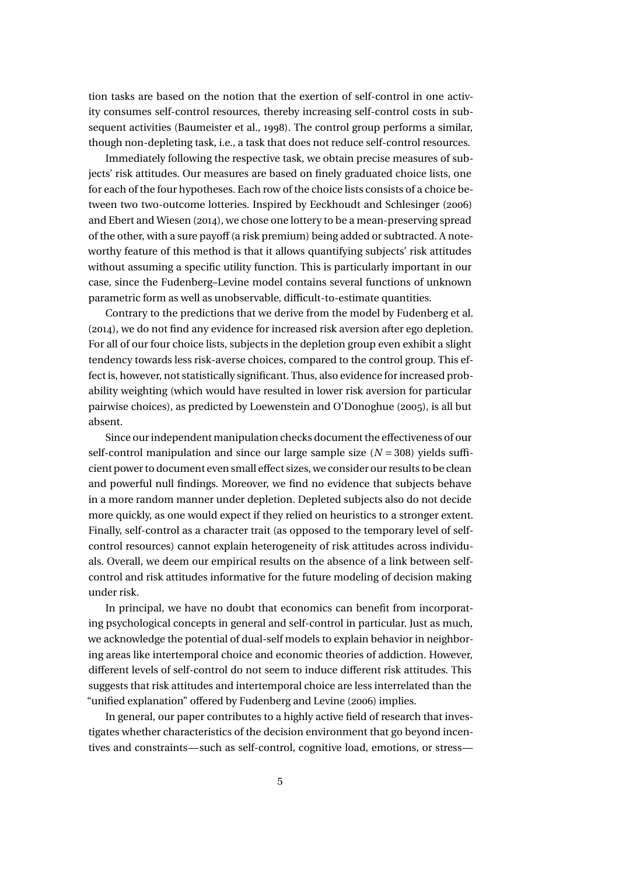<span id="page-4-0"></span>tion tasks are based on the notion that the exertion of self-control in one activity consumes self-control resources, thereby increasing self-control costs in subsequent activities (Baumeister et al., [1998\)](#page-36-0). The control group performs a similar, though non-depleting task, i.e., a task that does not reduce self-control resources.

Immediately following the respective task, we obtain precise measures of subjects' risk attitudes. Our measures are based on finely graduated choice lists, one for each of the four hypotheses. Each row of the choice lists consists of a choice between two two-outcome lotteries. Inspired by Eeckhoudt and Schlesinger [\(2006\)](#page-37-0) and Ebert and Wiesen [\(2014\)](#page-37-0), we chose one lottery to be a mean-preserving spread of the other, with a sure payoff (a risk premium) being added or subtracted. A noteworthy feature of this method is that it allows quantifying subjects' risk attitudes without assuming a specific utility function. This is particularly important in our case, since the Fudenberg–Levine model contains several functions of unknown parametric form as well as unobservable, difficult-to-estimate quantities.

Contrary to the predictions that we derive from the model by Fudenberg et al. [\(2014\)](#page-38-0), we do not find any evidence for increased risk aversion after ego depletion. For all of our four choice lists, subjects in the depletion group even exhibit a slight tendency towards less risk-averse choices, compared to the control group. This effect is, however, not statistically significant. Thus, also evidence for increased probability weighting (which would have resulted in lower risk aversion for particular pairwise choices), as predicted by Loewenstein and O'Donoghue [\(2005\)](#page-38-0), is all but absent.

Since our independent manipulation checks document the effectiveness of our self-control manipulation and since our large sample size (*N* = 308) yields sufficient power to document even small effect sizes, we consider our results to be clean and powerful null findings. Moreover, we find no evidence that subjects behave in a more random manner under depletion. Depleted subjects also do not decide more quickly, as one would expect if they relied on heuristics to a stronger extent. Finally, self-control as a character trait (as opposed to the temporary level of selfcontrol resources) cannot explain heterogeneity of risk attitudes across individuals. Overall, we deem our empirical results on the absence of a link between selfcontrol and risk attitudes informative for the future modeling of decision making under risk.

In principal, we have no doubt that economics can benefit from incorporating psychological concepts in general and self-control in particular. Just as much, we acknowledge the potential of dual-self models to explain behavior in neighboring areas like intertemporal choice and economic theories of addiction. However, different levels of self-control do not seem to induce different risk attitudes. This suggests that risk attitudes and intertemporal choice are less interrelated than the "unified explanation" offered by Fudenberg and Levine [\(2006\)](#page-37-0) implies.

In general, our paper contributes to a highly active field of research that investigates whether characteristics of the decision environment that go beyond incentives and constraints—such as self-control, cognitive load, emotions, or stress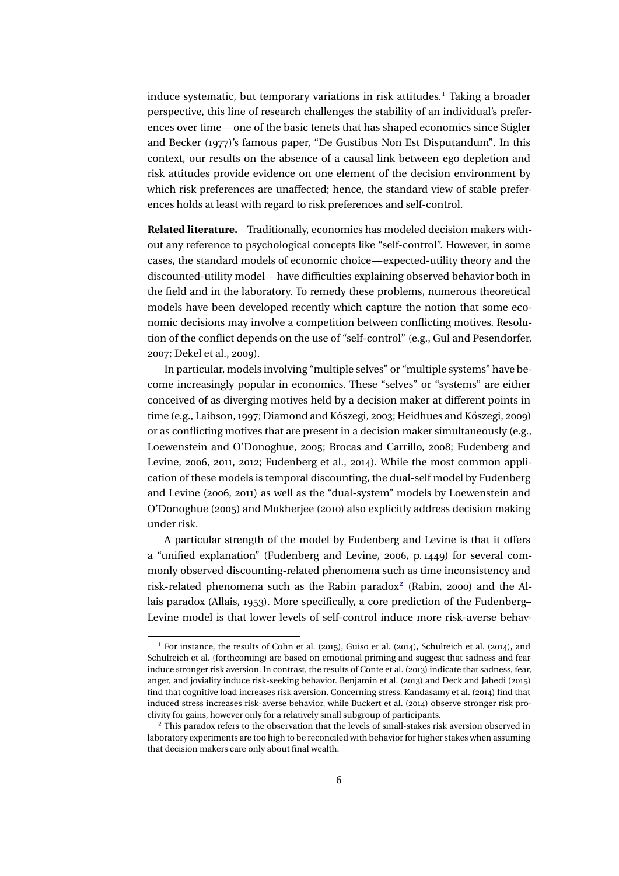<span id="page-5-0"></span>induce systematic, but temporary variations in risk attitudes.<sup>1</sup> Taking a broader perspective, this line of research challenges the stability of an individual's preferences over time—one of the basic tenets that has shaped economics since Stigler and Becker [\(1977\)](#page-39-0)'s famous paper, "De Gustibus Non Est Disputandum". In this context, our results on the absence of a causal link between ego depletion and risk attitudes provide evidence on one element of the decision environment by which risk preferences are unaffected; hence, the standard view of stable preferences holds at least with regard to risk preferences and self-control.

**Related literature.** Traditionally, economics has modeled decision makers without any reference to psychological concepts like "self-control". However, in some cases, the standard models of economic choice—expected-utility theory and the discounted-utility model—have difficulties explaining observed behavior both in the field and in the laboratory. To remedy these problems, numerous theoretical models have been developed recently which capture the notion that some economic decisions may involve a competition between conflicting motives. Resolution of the conflict depends on the use of "self-control" (e.g., Gul and Pesendorfer, [2007;](#page-38-0) Dekel et al., [2009\)](#page-37-0).

In particular, models involving "multiple selves" or "multiple systems" have become increasingly popular in economics. These "selves" or "systems" are either conceived of as diverging motives held by a decision maker at different points in time (e.g., Laibson, [1997;](#page-38-0) Diamond and Kőszegi, [2003;](#page-37-0) Heidhues and Kőszegi, [2009\)](#page-38-0) or as conflicting motives that are present in a decision maker simultaneously (e.g., Loewenstein and O'Donoghue, [2005;](#page-38-0) Brocas and Carrillo, [2008;](#page-36-0) Fudenberg and Levine, [2006,](#page-37-0) [2011,](#page-37-0) [2012;](#page-37-0) Fudenberg et al., [2014\)](#page-38-0). While the most common application of these models is temporal discounting, the dual-self model by Fudenberg and Levine [\(2006,](#page-37-0) [2011\)](#page-37-0) as well as the "dual-system" models by Loewenstein and O'Donoghue [\(2005\)](#page-38-0) and Mukherjee [\(2010\)](#page-39-0) also explicitly address decision making under risk.

A particular strength of the model by Fudenberg and Levine is that it offers a "unified explanation" (Fudenberg and Levine, [2006,](#page-37-0) p. 1449) for several commonly observed discounting-related phenomena such as time inconsistency and risk-related phenomena such as the Rabin paradox<sup>2</sup> (Rabin, [2000\)](#page-39-0) and the Allais paradox (Allais, [1953\)](#page-36-0). More specifically, a core prediction of the Fudenberg– Levine model is that lower levels of self-control induce more risk-averse behav-

<sup>1</sup> For instance, the results of Cohn et al. [\(2015\)](#page-37-0), Guiso et al. [\(2014\)](#page-38-0), Schulreich et al. [\(2014\)](#page-39-0), and Schulreich et al. [\(forthcoming\)](#page-39-0) are based on emotional priming and suggest that sadness and fear induce stronger risk aversion. In contrast, the results of Conte et al. [\(2013\)](#page-37-0) indicate that sadness, fear, anger, and joviality induce risk-seeking behavior. Benjamin et al. [\(2013\)](#page-36-0) and Deck and Jahedi [\(2015\)](#page-37-0) find that cognitive load increases risk aversion. Concerning stress, Kandasamy et al. [\(2014\)](#page-38-0) find that induced stress increases risk-averse behavior, while Buckert et al. [\(2014\)](#page-36-0) observe stronger risk proclivity for gains, however only for a relatively small subgroup of participants.

<sup>2</sup> This paradox refers to the observation that the levels of small-stakes risk aversion observed in laboratory experiments are too high to be reconciled with behavior for higher stakes when assuming that decision makers care only about final wealth.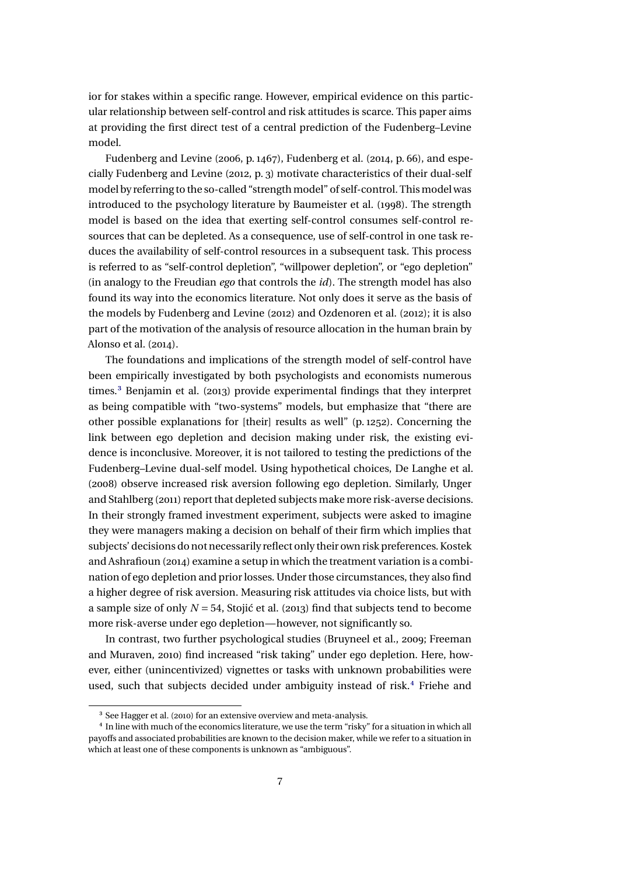<span id="page-6-0"></span>ior for stakes within a specific range. However, empirical evidence on this particular relationship between self-control and risk attitudes is scarce. This paper aims at providing the first direct test of a central prediction of the Fudenberg–Levine model.

Fudenberg and Levine [\(2006,](#page-37-0) p. 1467), Fudenberg et al. [\(2014,](#page-38-0) p. 66), and especially Fudenberg and Levine [\(2012,](#page-37-0) p. 3) motivate characteristics of their dual-self model by referring to the so-called "strength model" of self-control. This model was introduced to the psychology literature by Baumeister et al. [\(1998\)](#page-36-0). The strength model is based on the idea that exerting self-control consumes self-control resources that can be depleted. As a consequence, use of self-control in one task reduces the availability of self-control resources in a subsequent task. This process is referred to as "self-control depletion", "willpower depletion", or "ego depletion" (in analogy to the Freudian *ego* that controls the *id*). The strength model has also found its way into the economics literature. Not only does it serve as the basis of the models by Fudenberg and Levine [\(2012\)](#page-37-0) and Ozdenoren et al. [\(2012\)](#page-39-0); it is also part of the motivation of the analysis of resource allocation in the human brain by Alonso et al. [\(2014\)](#page-36-0).

The foundations and implications of the strength model of self-control have been empirically investigated by both psychologists and economists numerous times.<sup>3</sup> Benjamin et al. [\(2013\)](#page-36-0) provide experimental findings that they interpret as being compatible with "two-systems" models, but emphasize that "there are other possible explanations for [their] results as well" (p. 1252). Concerning the link between ego depletion and decision making under risk, the existing evidence is inconclusive. Moreover, it is not tailored to testing the predictions of the Fudenberg–Levine dual-self model. Using hypothetical choices, De Langhe et al. [\(2008\)](#page-37-0) observe increased risk aversion following ego depletion. Similarly, Unger and Stahlberg [\(2011\)](#page-39-0) report that depleted subjects make more risk-averse decisions. In their strongly framed investment experiment, subjects were asked to imagine they were managers making a decision on behalf of their firm which implies that subjects' decisions do not necessarily reflect only their own risk preferences. Kostek and Ashrafioun [\(2014\)](#page-38-0) examine a setup in which the treatment variation is a combination of ego depletion and prior losses. Under those circumstances, they also find a higher degree of risk aversion. Measuring risk attitudes via choice lists, but with a sample size of only  $N = 54$ , Stojić et al. [\(2013\)](#page-39-0) find that subjects tend to become more risk-averse under ego depletion—however, not significantly so.

In contrast, two further psychological studies (Bruyneel et al., [2009;](#page-36-0) Freeman and Muraven, [2010\)](#page-37-0) find increased "risk taking" under ego depletion. Here, however, either (unincentivized) vignettes or tasks with unknown probabilities were used, such that subjects decided under ambiguity instead of risk.<sup>4</sup> Friehe and

<sup>3</sup> See Hagger et al. [\(2010\)](#page-38-0) for an extensive overview and meta-analysis.

<sup>4</sup> In line with much of the economics literature, we use the term "risky" for a situation in which all payoffs and associated probabilities are known to the decision maker, while we refer to a situation in which at least one of these components is unknown as "ambiguous".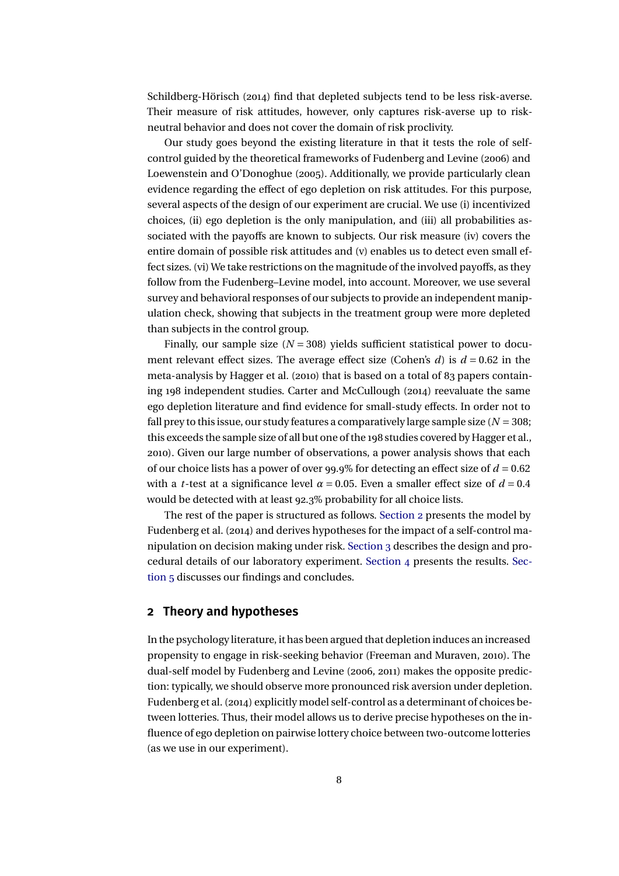<span id="page-7-0"></span>Schildberg-Hörisch [\(2014\)](#page-37-0) find that depleted subjects tend to be less risk-averse. Their measure of risk attitudes, however, only captures risk-averse up to riskneutral behavior and does not cover the domain of risk proclivity.

Our study goes beyond the existing literature in that it tests the role of selfcontrol guided by the theoretical frameworks of Fudenberg and Levine [\(2006\)](#page-37-0) and Loewenstein and O'Donoghue [\(2005\)](#page-38-0). Additionally, we provide particularly clean evidence regarding the effect of ego depletion on risk attitudes. For this purpose, several aspects of the design of our experiment are crucial. We use (i) incentivized choices, (ii) ego depletion is the only manipulation, and (iii) all probabilities associated with the payoffs are known to subjects. Our risk measure (iv) covers the entire domain of possible risk attitudes and (v) enables us to detect even small effect sizes. (vi) We take restrictions on the magnitude of the involved payoffs, as they follow from the Fudenberg–Levine model, into account. Moreover, we use several survey and behavioral responses of our subjects to provide an independent manipulation check, showing that subjects in the treatment group were more depleted than subjects in the control group.

Finally, our sample size  $(N = 308)$  yields sufficient statistical power to document relevant effect sizes. The average effect size (Cohen's  $d$ ) is  $d = 0.62$  in the meta-analysis by Hagger et al. [\(2010\)](#page-38-0) that is based on a total of 83 papers containing 198 independent studies. Carter and McCullough [\(2014\)](#page-36-0) reevaluate the same ego depletion literature and find evidence for small-study effects. In order not to fall prey to this issue, our study features a comparatively large sample size  $(N = 308;$ this exceeds the sample size of all but one of the 198 studies covered by Hagger et al., [2010\)](#page-38-0). Given our large number of observations, a power analysis shows that each of our choice lists has a power of over 99.9% for detecting an effect size of *d* = 0.62 with a *t*-test at a significance level  $\alpha$  = 0.05. Even a smaller effect size of  $d$  = 0.4 would be detected with at least 92.3% probability for all choice lists.

The rest of the paper is structured as follows. Section 2 presents the model by Fudenberg et al. [\(2014\)](#page-38-0) and derives hypotheses for the impact of a self-control manipulation on decision making under risk. [Section 3](#page-11-0) describes the design and procedural details of our laboratory experiment. [Section 4](#page-18-0) presents the results. [Sec](#page-22-0)[tion 5](#page-22-0) discusses our findings and concludes.

#### **2 Theory and hypotheses**

In the psychology literature, it has been argued that depletion induces an increased propensity to engage in risk-seeking behavior (Freeman and Muraven, [2010\)](#page-37-0). The dual-self model by Fudenberg and Levine [\(2006,](#page-37-0) [2011\)](#page-37-0) makes the opposite prediction: typically, we should observe more pronounced risk aversion under depletion. Fudenberg et al. [\(2014\)](#page-38-0) explicitly model self-control as a determinant of choices between lotteries. Thus, their model allows us to derive precise hypotheses on the influence of ego depletion on pairwise lottery choice between two-outcome lotteries (as we use in our experiment).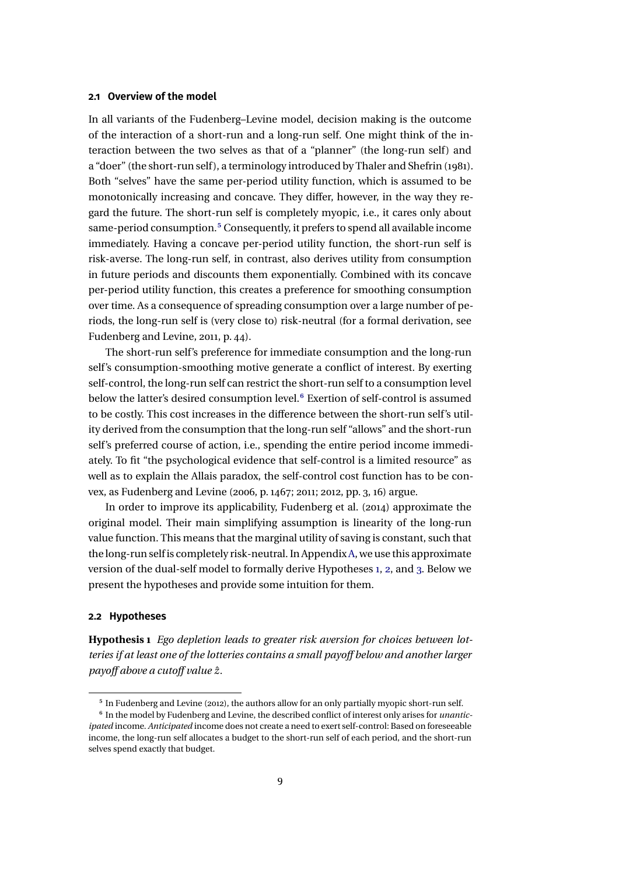#### <span id="page-8-0"></span>**2.1 Overview of the model**

In all variants of the Fudenberg–Levine model, decision making is the outcome of the interaction of a short-run and a long-run self. One might think of the interaction between the two selves as that of a "planner" (the long-run self) and a "doer" (the short-run self ), a terminology introduced by Thaler and Shefrin [\(1981\)](#page-39-0). Both "selves" have the same per-period utility function, which is assumed to be monotonically increasing and concave. They differ, however, in the way they regard the future. The short-run self is completely myopic, i.e., it cares only about same-period consumption.5 Consequently, it prefers to spend all available income immediately. Having a concave per-period utility function, the short-run self is risk-averse. The long-run self, in contrast, also derives utility from consumption in future periods and discounts them exponentially. Combined with its concave per-period utility function, this creates a preference for smoothing consumption over time. As a consequence of spreading consumption over a large number of periods, the long-run self is (very close to) risk-neutral (for a formal derivation, see Fudenberg and Levine, [2011,](#page-37-0) p. 44).

The short-run self's preference for immediate consumption and the long-run self's consumption-smoothing motive generate a conflict of interest. By exerting self-control, the long-run self can restrict the short-run self to a consumption level below the latter's desired consumption level.<sup>6</sup> Exertion of self-control is assumed to be costly. This cost increases in the difference between the short-run self's utility derived from the consumption that the long-run self "allows" and the short-run self's preferred course of action, i.e., spending the entire period income immediately. To fit "the psychological evidence that self-control is a limited resource" as well as to explain the Allais paradox, the self-control cost function has to be convex, as Fudenberg and Levine (2006, p. 1467; 2011; 2012, pp. 3, 16) argue.

In order to improve its applicability, Fudenberg et al. [\(2014\)](#page-38-0) approximate the original model. Their main simplifying assumption is linearity of the long-run value function. This means that the marginal utility of saving is constant, such that the long-run self is completely risk-neutral. In Appendix[A,](#page-25-0) we use this approximate version of the dual-self model to formally derive Hypotheses 1, [2,](#page-9-0) and [3.](#page-9-0) Below we present the hypotheses and provide some intuition for them.

#### **2.2 Hypotheses**

**Hypothesis 1** *Ego depletion leads to greater risk aversion for choices between lotteries if at least one of the lotteries contains a small payoff below and another larger payoff above a cutoff value z*ˆ*.*

<sup>5</sup> In Fudenberg and Levine [\(2012\)](#page-37-0), the authors allow for an only partially myopic short-run self.

<sup>6</sup> In the model by Fudenberg and Levine, the described conflict of interest only arises for *unanticipated* income. *Anticipated* income does not create a need to exert self-control: Based on foreseeable income, the long-run self allocates a budget to the short-run self of each period, and the short-run selves spend exactly that budget.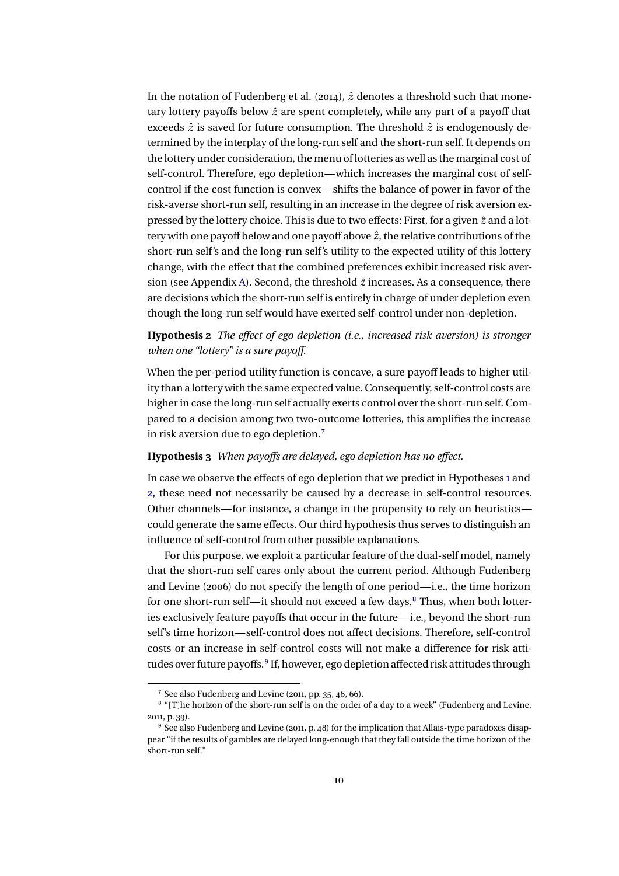<span id="page-9-0"></span>In the notation of Fudenberg et al. [\(2014\)](#page-38-0),  $\hat{z}$  denotes a threshold such that monetary lottery payoffs below  $\hat{z}$  are spent completely, while any part of a payoff that exceeds  $\hat{z}$  is saved for future consumption. The threshold  $\hat{z}$  is endogenously determined by the interplay of the long-run self and the short-run self. It depends on the lottery under consideration, the menu of lotteries as well as the marginal cost of self-control. Therefore, ego depletion—which increases the marginal cost of selfcontrol if the cost function is convex—shifts the balance of power in favor of the risk-averse short-run self, resulting in an increase in the degree of risk aversion expressed by the lottery choice. This is due to two effects: First, for a given  $\hat{z}$  and a lottery with one payoff below and one payoff above *z*ˆ, the relative contributions of the short-run self's and the long-run self's utility to the expected utility of this lottery change, with the effect that the combined preferences exhibit increased risk aver-sion (see Appendix [A\)](#page-25-0). Second, the threshold  $\hat{z}$  increases. As a consequence, there are decisions which the short-run self is entirely in charge of under depletion even though the long-run self would have exerted self-control under non-depletion.

### **Hypothesis 2** *The effect of ego depletion (i.e., increased risk aversion) is stronger when one "lottery" is a sure payoff.*

When the per-period utility function is concave, a sure payoff leads to higher utility than a lottery with the same expected value. Consequently, self-control costs are higher in case the long-run self actually exerts control over the short-run self. Compared to a decision among two two-outcome lotteries, this amplifies the increase in risk aversion due to ego depletion.7

#### **Hypothesis 3** *When payoffs are delayed, ego depletion has no effect.*

In case we observe the effects of ego depletion that we predict in Hypotheses [1](#page-8-0) and 2, these need not necessarily be caused by a decrease in self-control resources. Other channels—for instance, a change in the propensity to rely on heuristics could generate the same effects. Our third hypothesis thus serves to distinguish an influence of self-control from other possible explanations.

For this purpose, we exploit a particular feature of the dual-self model, namely that the short-run self cares only about the current period. Although Fudenberg and Levine [\(2006\)](#page-37-0) do not specify the length of one period—i.e., the time horizon for one short-run self—it should not exceed a few days.<sup>8</sup> Thus, when both lotteries exclusively feature payoffs that occur in the future—i.e., beyond the short-run self's time horizon—self-control does not affect decisions. Therefore, self-control costs or an increase in self-control costs will not make a difference for risk attitudes over future payoffs.<sup>9</sup> If, however, ego depletion affected risk attitudes through

<sup>7</sup> See also Fudenberg and Levine [\(2011,](#page-37-0) pp. 35, 46, 66).

 $^8$  "[T]he horizon of the short-run self is on the order of a day to a week" (Fudenberg and Levine, [2011,](#page-37-0) p. 39).

<sup>9</sup> See also Fudenberg and Levine [\(2011,](#page-37-0) p. 48) for the implication that Allais-type paradoxes disappear "if the results of gambles are delayed long-enough that they fall outside the time horizon of the short-run self."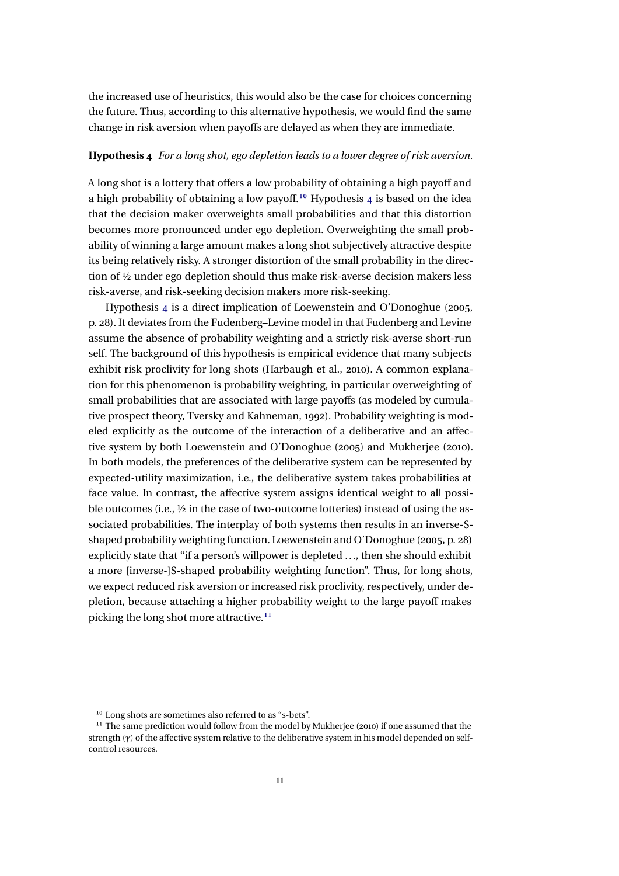<span id="page-10-0"></span>the increased use of heuristics, this would also be the case for choices concerning the future. Thus, according to this alternative hypothesis, we would find the same change in risk aversion when payoffs are delayed as when they are immediate.

#### **Hypothesis 4** *For a long shot, ego depletion leads to a lower degree of risk aversion.*

A long shot is a lottery that offers a low probability of obtaining a high payoff and a high probability of obtaining a low payoff.<sup>10</sup> Hypothesis  $4$  is based on the idea that the decision maker overweights small probabilities and that this distortion becomes more pronounced under ego depletion. Overweighting the small probability of winning a large amount makes a long shot subjectively attractive despite its being relatively risky. A stronger distortion of the small probability in the direction of ½ under ego depletion should thus make risk-averse decision makers less risk-averse, and risk-seeking decision makers more risk-seeking.

Hypothesis 4 is a direct implication of Loewenstein and O'Donoghue [\(2005,](#page-38-0) p. 28). It deviates from the Fudenberg–Levine model in that Fudenberg and Levine assume the absence of probability weighting and a strictly risk-averse short-run self. The background of this hypothesis is empirical evidence that many subjects exhibit risk proclivity for long shots (Harbaugh et al., [2010\)](#page-38-0). A common explanation for this phenomenon is probability weighting, in particular overweighting of small probabilities that are associated with large payoffs (as modeled by cumulative prospect theory, Tversky and Kahneman, [1992\)](#page-39-0). Probability weighting is modeled explicitly as the outcome of the interaction of a deliberative and an affective system by both Loewenstein and O'Donoghue [\(2005\)](#page-38-0) and Mukherjee [\(2010\)](#page-39-0). In both models, the preferences of the deliberative system can be represented by expected-utility maximization, i.e., the deliberative system takes probabilities at face value. In contrast, the affective system assigns identical weight to all possible outcomes (i.e., ½ in the case of two-outcome lotteries) instead of using the associated probabilities. The interplay of both systems then results in an inverse-Sshaped probability weighting function. Loewenstein and O'Donoghue [\(2005,](#page-38-0) p. 28) explicitly state that "if a person's willpower is depleted ..., then she should exhibit a more [inverse-]S-shaped probability weighting function". Thus, for long shots, we expect reduced risk aversion or increased risk proclivity, respectively, under depletion, because attaching a higher probability weight to the large payoff makes picking the long shot more attractive.<sup>11</sup>

<sup>10</sup> Long shots are sometimes also referred to as "\$-bets".

 $11$  The same prediction would follow from the model by Mukherjee [\(2010\)](#page-39-0) if one assumed that the strength (*γ*) of the affective system relative to the deliberative system in his model depended on selfcontrol resources.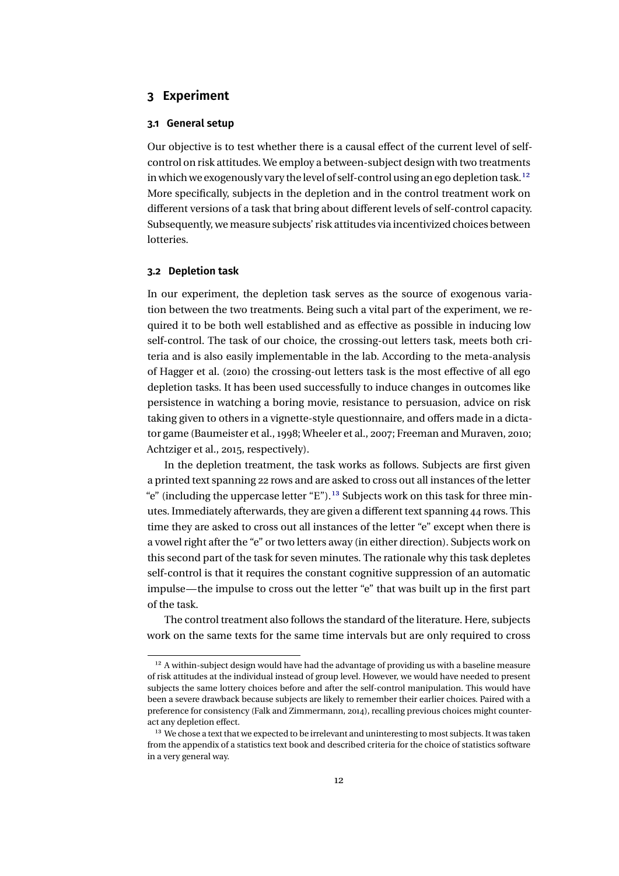### <span id="page-11-0"></span>**3 Experiment**

#### **3.1 General setup**

Our objective is to test whether there is a causal effect of the current level of selfcontrol on risk attitudes. We employ a between-subject design with two treatments in which we exogenously vary the level of self-control using an ego depletion task.12 More specifically, subjects in the depletion and in the control treatment work on different versions of a task that bring about different levels of self-control capacity. Subsequently, we measure subjects' risk attitudes via incentivized choices between lotteries.

#### **3.2 Depletion task**

In our experiment, the depletion task serves as the source of exogenous variation between the two treatments. Being such a vital part of the experiment, we required it to be both well established and as effective as possible in inducing low self-control. The task of our choice, the crossing-out letters task, meets both criteria and is also easily implementable in the lab. According to the meta-analysis of Hagger et al. [\(2010\)](#page-38-0) the crossing-out letters task is the most effective of all ego depletion tasks. It has been used successfully to induce changes in outcomes like persistence in watching a boring movie, resistance to persuasion, advice on risk taking given to others in a vignette-style questionnaire, and offers made in a dictator game (Baumeister et al., [1998;](#page-36-0) Wheeler et al., [2007;](#page-39-0) Freeman and Muraven, [2010;](#page-37-0) Achtziger et al., [2015,](#page-36-0) respectively).

In the depletion treatment, the task works as follows. Subjects are first given a printed text spanning 22 rows and are asked to cross out all instances of the letter "e" (including the uppercase letter "E").<sup>13</sup> Subjects work on this task for three minutes. Immediately afterwards, they are given a different text spanning 44 rows. This time they are asked to cross out all instances of the letter "e" except when there is a vowel right after the "e" or two letters away (in either direction). Subjects work on this second part of the task for seven minutes. The rationale why this task depletes self-control is that it requires the constant cognitive suppression of an automatic impulse—the impulse to cross out the letter "e" that was built up in the first part of the task.

The control treatment also follows the standard of the literature. Here, subjects work on the same texts for the same time intervals but are only required to cross

<sup>&</sup>lt;sup>12</sup> A within-subject design would have had the advantage of providing us with a baseline measure of risk attitudes at the individual instead of group level. However, we would have needed to present subjects the same lottery choices before and after the self-control manipulation. This would have been a severe drawback because subjects are likely to remember their earlier choices. Paired with a preference for consistency (Falk and Zimmermann, [2014\)](#page-37-0), recalling previous choices might counteract any depletion effect.

<sup>&</sup>lt;sup>13</sup> We chose a text that we expected to be irrelevant and uninteresting to most subjects. It was taken from the appendix of a statistics text book and described criteria for the choice of statistics software in a very general way.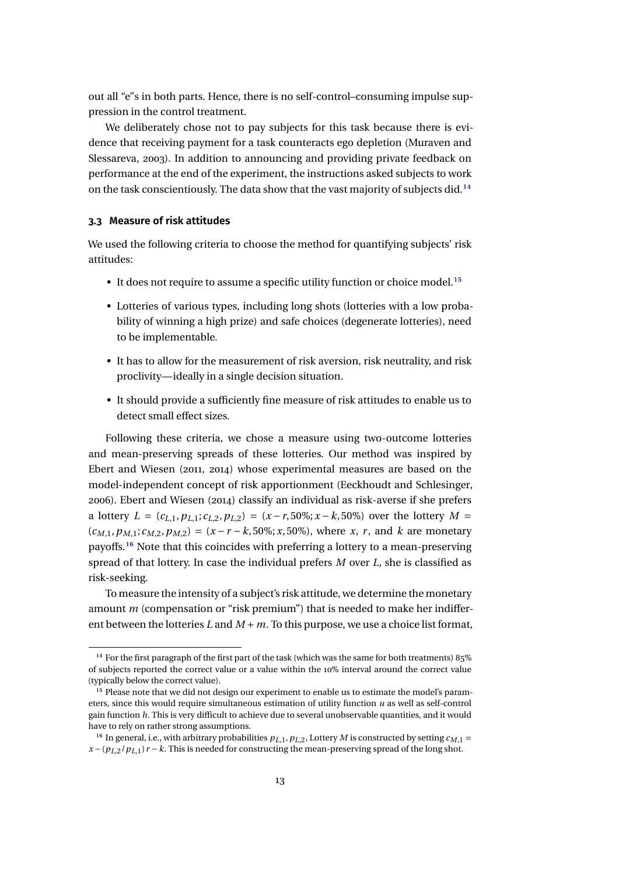<span id="page-12-0"></span>out all "e"s in both parts. Hence, there is no self-control–consuming impulse suppression in the control treatment.

We deliberately chose not to pay subjects for this task because there is evidence that receiving payment for a task counteracts ego depletion (Muraven and Slessareva, [2003\)](#page-39-0). In addition to announcing and providing private feedback on performance at the end of the experiment, the instructions asked subjects to work on the task conscientiously. The data show that the vast majority of subjects did.14

#### **3.3 Measure of risk attitudes**

We used the following criteria to choose the method for quantifying subjects' risk attitudes:

- $\bullet~$  It does not require to assume a specific utility function or choice model.<sup>15</sup>
- Lotteries of various types, including long shots (lotteries with a low probability of winning a high prize) and safe choices (degenerate lotteries), need to be implementable.
- It has to allow for the measurement of risk aversion, risk neutrality, and risk proclivity—ideally in a single decision situation.
- It should provide a sufficiently fine measure of risk attitudes to enable us to detect small effect sizes.

Following these criteria, we chose a measure using two-outcome lotteries and mean-preserving spreads of these lotteries. Our method was inspired by Ebert and Wiesen [\(2011,](#page-37-0) [2014\)](#page-37-0) whose experimental measures are based on the model-independent concept of risk apportionment (Eeckhoudt and Schlesinger, [2006\)](#page-37-0). Ebert and Wiesen [\(2014\)](#page-37-0) classify an individual as risk-averse if she prefers a lottery  $L = (c_{L,1}, p_{L,1}; c_{L,2}, p_{L,2}) = (x - r, 50\%; x - k, 50\%)$  over the lottery  $M =$  $(c_{M,1}, p_{M,1}; c_{M,2}, p_{M,2}) = (x - r - k, 50\%; x, 50\%)$ , where *x*, *r*, and *k* are monetary payoffs.16 Note that this coincides with preferring a lottery to a mean-preserving spread of that lottery. In case the individual prefers *M* over *L*, she is classified as risk-seeking.

To measure the intensity of a subject's risk attitude, we determine the monetary amount *m* (compensation or "risk premium") that is needed to make her indifferent between the lotteries L and  $M + m$ . To this purpose, we use a choice list format,

<sup>&</sup>lt;sup>14</sup> For the first paragraph of the first part of the task (which was the same for both treatments) 85% of subjects reported the correct value or a value within the 10% interval around the correct value (typically below the correct value).

<sup>&</sup>lt;sup>15</sup> Please note that we did not design our experiment to enable us to estimate the model's parameters, since this would require simultaneous estimation of utility function *u* as well as self-control gain function *h*. This is very difficult to achieve due to several unobservable quantities, and it would have to rely on rather strong assumptions.

<sup>&</sup>lt;sup>16</sup> In general, i.e., with arbitrary probabilities  $p_{L,1}, p_{L,2}$ , Lottery *M* is constructed by setting  $c_{M,1} =$  $x - (p_L/ p_L) r - k$ . This is needed for constructing the mean-preserving spread of the long shot.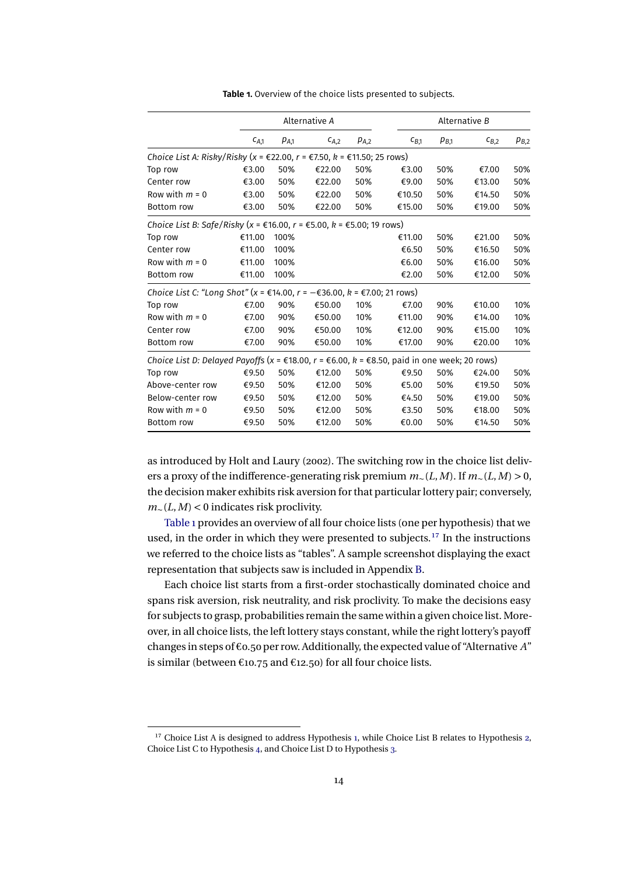<span id="page-13-0"></span>

|                                                                                                                            |           | Alternative A |           |                 | Alternative B |           |           |           |
|----------------------------------------------------------------------------------------------------------------------------|-----------|---------------|-----------|-----------------|---------------|-----------|-----------|-----------|
|                                                                                                                            | $C_{A,1}$ | $p_{A,1}$     | $C_{A,2}$ | PA <sub>2</sub> | $c_{B.1}$     | $p_{B,1}$ | $C_{B,2}$ | $p_{B,2}$ |
| Choice List A: Risky/Risky (x = €22.00, r = €7.50, k = €11.50; 25 rows)                                                    |           |               |           |                 |               |           |           |           |
| Top row                                                                                                                    | €3.00     | 50%           | €22.00    | 50%             | €3.00         | 50%       | €7.00     | 50%       |
| Center row                                                                                                                 | €3.00     | 50%           | €22.00    | 50%             | €9.00         | 50%       | €13.00    | 50%       |
| Row with $m = 0$                                                                                                           | €3.00     | 50%           | €22.00    | 50%             | €10.50        | 50%       | €14.50    | 50%       |
| Bottom row                                                                                                                 | €3.00     | 50%           | €22.00    | 50%             | €15.00        | 50%       | €19.00    | 50%       |
| Choice List B: Safe/Risky (x = €16.00, r = €5.00, k = €5.00; 19 rows)                                                      |           |               |           |                 |               |           |           |           |
| Top row                                                                                                                    | €11.00    | 100%          |           |                 | €11.00        | 50%       | €21.00    | 50%       |
| Center row                                                                                                                 | €11.00    | 100%          |           |                 | €6.50         | 50%       | €16.50    | 50%       |
| Row with $m = 0$                                                                                                           | €11.00    | 100%          |           |                 | €6.00         | 50%       | €16.00    | 50%       |
| <b>Bottom</b> row                                                                                                          | €11.00    | 100%          |           |                 | €2.00         | 50%       | €12.00    | 50%       |
| Choice List C: "Long Shot" (x = €14.00, r = $-$ €36.00, k = €7.00; 21 rows)                                                |           |               |           |                 |               |           |           |           |
| Top row                                                                                                                    | €7.00     | 90%           | €50.00    | 10%             | €7.00         | 90%       | €10.00    | 10%       |
| Row with $m = 0$                                                                                                           | €7.00     | 90%           | €50.00    | 10%             | €11.00        | 90%       | €14.00    | 10%       |
| Center row                                                                                                                 | €7.00     | 90%           | €50.00    | 10%             | €12.00        | 90%       | €15.00    | 10%       |
| Bottom row                                                                                                                 | €7.00     | 90%           | €50.00    | 10%             | €17.00        | 90%       | €20.00    | 10%       |
| Choice List D: Delayed Payoffs (x = $\epsilon$ 18.00, r = $\epsilon$ 6.00, k = $\epsilon$ 8.50, paid in one week; 20 rows) |           |               |           |                 |               |           |           |           |
| Top row                                                                                                                    | €9.50     | 50%           | €12.00    | 50%             | €9.50         | 50%       | €24.00    | 50%       |
| Above-center row                                                                                                           | €9.50     | 50%           | €12.00    | 50%             | €5.00         | 50%       | €19.50    | 50%       |
| Below-center row                                                                                                           | €9.50     | 50%           | €12.00    | 50%             | €4.50         | 50%       | €19.00    | 50%       |
| Row with $m = 0$                                                                                                           | €9.50     | 50%           | €12.00    | 50%             | €3.50         | 50%       | €18.00    | 50%       |
| <b>Bottom</b> row                                                                                                          | €9.50     | 50%           | €12.00    | 50%             | €0.00         | 50%       | €14.50    | 50%       |

**Table 1.** Overview of the choice lists presented to subjects.

as introduced by Holt and Laury [\(2002\)](#page-38-0). The switching row in the choice list delivers a proxy of the indifference-generating risk premium *m*∼(*L*,*M*). If *m*∼(*L*,*M*) > 0, the decision maker exhibits risk aversion for that particular lottery pair; conversely, *m*∼(*L*,*M*) < 0 indicates risk proclivity.

Table 1 provides an overview of all four choice lists (one per hypothesis) that we used, in the order in which they were presented to subjects.<sup>17</sup> In the instructions we referred to the choice lists as "tables". A sample screenshot displaying the exact representation that subjects saw is included in Appendix [B.](#page-32-0)

Each choice list starts from a first-order stochastically dominated choice and spans risk aversion, risk neutrality, and risk proclivity. To make the decisions easy for subjects to grasp, probabilities remain the same within a given choice list. Moreover, in all choice lists, the left lottery stays constant, while the right lottery's payoff changes in steps of €0.50 per row. Additionally, the expected value of "Alternative *A*" is similar (between  $\epsilon$ 10.75 and  $\epsilon$ 12.50) for all four choice lists.

<sup>&</sup>lt;sup>17</sup> Choice List A is designed to address Hypothesis [1,](#page-8-0) while Choice List B relates to Hypothesis [2,](#page-9-0) Choice List C to Hypothesis [4,](#page-10-0) and Choice List D to Hypothesis [3.](#page-9-0)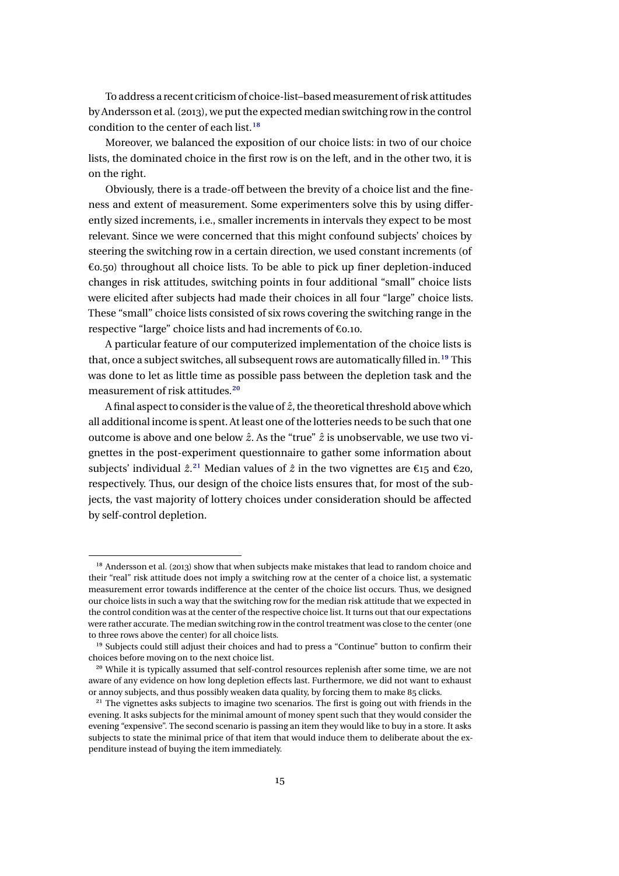<span id="page-14-0"></span>To address a recent criticism of choice-list–based measurement of risk attitudes by Andersson et al. [\(2013\)](#page-36-0), we put the expected median switching row in the control condition to the center of each list.<sup>18</sup>

Moreover, we balanced the exposition of our choice lists: in two of our choice lists, the dominated choice in the first row is on the left, and in the other two, it is on the right.

Obviously, there is a trade-off between the brevity of a choice list and the fineness and extent of measurement. Some experimenters solve this by using differently sized increments, i.e., smaller increments in intervals they expect to be most relevant. Since we were concerned that this might confound subjects' choices by steering the switching row in a certain direction, we used constant increments (of €0.50) throughout all choice lists. To be able to pick up finer depletion-induced changes in risk attitudes, switching points in four additional "small" choice lists were elicited after subjects had made their choices in all four "large" choice lists. These "small" choice lists consisted of six rows covering the switching range in the respective "large" choice lists and had increments of €0.10.

A particular feature of our computerized implementation of the choice lists is that, once a subject switches, all subsequent rows are automatically filled in.<sup>19</sup> This was done to let as little time as possible pass between the depletion task and the measurement of risk attitudes.<sup>20</sup>

A final aspect to consider is the value of *z*ˆ, the theoretical threshold above which all additional income is spent. At least one of the lotteries needs to be such that one outcome is above and one below *z*ˆ. As the "true" *z*ˆ is unobservable, we use two vignettes in the post-experiment questionnaire to gather some information about subjects' individual  $\hat{z}$ <sup>21</sup>. Median values of  $\hat{z}$  in the two vignettes are  $\epsilon$ 15 and  $\epsilon$ 20, respectively. Thus, our design of the choice lists ensures that, for most of the subjects, the vast majority of lottery choices under consideration should be affected by self-control depletion.

<sup>&</sup>lt;sup>18</sup> Andersson et al. [\(2013\)](#page-36-0) show that when subjects make mistakes that lead to random choice and their "real" risk attitude does not imply a switching row at the center of a choice list, a systematic measurement error towards indifference at the center of the choice list occurs. Thus, we designed our choice lists in such a way that the switching row for the median risk attitude that we expected in the control condition was at the center of the respective choice list. It turns out that our expectations were rather accurate. The median switching row in the control treatment was close to the center (one to three rows above the center) for all choice lists.

<sup>&</sup>lt;sup>19</sup> Subjects could still adjust their choices and had to press a "Continue" button to confirm their choices before moving on to the next choice list.

<sup>&</sup>lt;sup>20</sup> While it is typically assumed that self-control resources replenish after some time, we are not aware of any evidence on how long depletion effects last. Furthermore, we did not want to exhaust or annoy subjects, and thus possibly weaken data quality, by forcing them to make 85 clicks.

<sup>&</sup>lt;sup>21</sup> The vignettes asks subjects to imagine two scenarios. The first is going out with friends in the evening. It asks subjects for the minimal amount of money spent such that they would consider the evening "expensive". The second scenario is passing an item they would like to buy in a store. It asks subjects to state the minimal price of that item that would induce them to deliberate about the expenditure instead of buying the item immediately.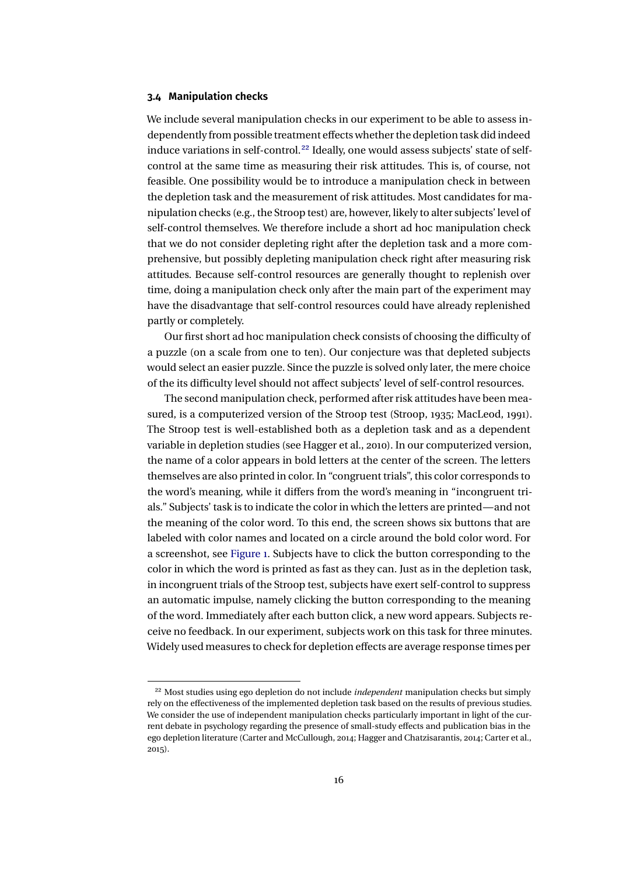#### <span id="page-15-0"></span>**3.4 Manipulation checks**

We include several manipulation checks in our experiment to be able to assess independently from possible treatment effects whether the depletion task did indeed induce variations in self-control.<sup>22</sup> Ideally, one would assess subjects' state of selfcontrol at the same time as measuring their risk attitudes. This is, of course, not feasible. One possibility would be to introduce a manipulation check in between the depletion task and the measurement of risk attitudes. Most candidates for manipulation checks (e.g., the Stroop test) are, however, likely to alter subjects' level of self-control themselves. We therefore include a short ad hoc manipulation check that we do not consider depleting right after the depletion task and a more comprehensive, but possibly depleting manipulation check right after measuring risk attitudes. Because self-control resources are generally thought to replenish over time, doing a manipulation check only after the main part of the experiment may have the disadvantage that self-control resources could have already replenished partly or completely.

Our first short ad hoc manipulation check consists of choosing the difficulty of a puzzle (on a scale from one to ten). Our conjecture was that depleted subjects would select an easier puzzle. Since the puzzle is solved only later, the mere choice of the its difficulty level should not affect subjects' level of self-control resources.

The second manipulation check, performed after risk attitudes have been measured, is a computerized version of the Stroop test (Stroop, [1935;](#page-39-0) MacLeod, [1991\)](#page-39-0). The Stroop test is well-established both as a depletion task and as a dependent variable in depletion studies (see Hagger et al., [2010\)](#page-38-0). In our computerized version, the name of a color appears in bold letters at the center of the screen. The letters themselves are also printed in color. In "congruent trials", this color corresponds to the word's meaning, while it differs from the word's meaning in "incongruent trials." Subjects' task is to indicate the color in which the letters are printed—and not the meaning of the color word. To this end, the screen shows six buttons that are labeled with color names and located on a circle around the bold color word. For a screenshot, see [Figure 1.](#page-16-0) Subjects have to click the button corresponding to the color in which the word is printed as fast as they can. Just as in the depletion task, in incongruent trials of the Stroop test, subjects have exert self-control to suppress an automatic impulse, namely clicking the button corresponding to the meaning of the word. Immediately after each button click, a new word appears. Subjects receive no feedback. In our experiment, subjects work on this task for three minutes. Widely used measures to check for depletion effects are average response times per

<sup>22</sup> Most studies using ego depletion do not include *independent* manipulation checks but simply rely on the effectiveness of the implemented depletion task based on the results of previous studies. We consider the use of independent manipulation checks particularly important in light of the current debate in psychology regarding the presence of small-study effects and publication bias in the ego depletion literature (Carter and McCullough, [2014;](#page-36-0) Hagger and Chatzisarantis, [2014;](#page-38-0) Carter et al., [2015\)](#page-36-0).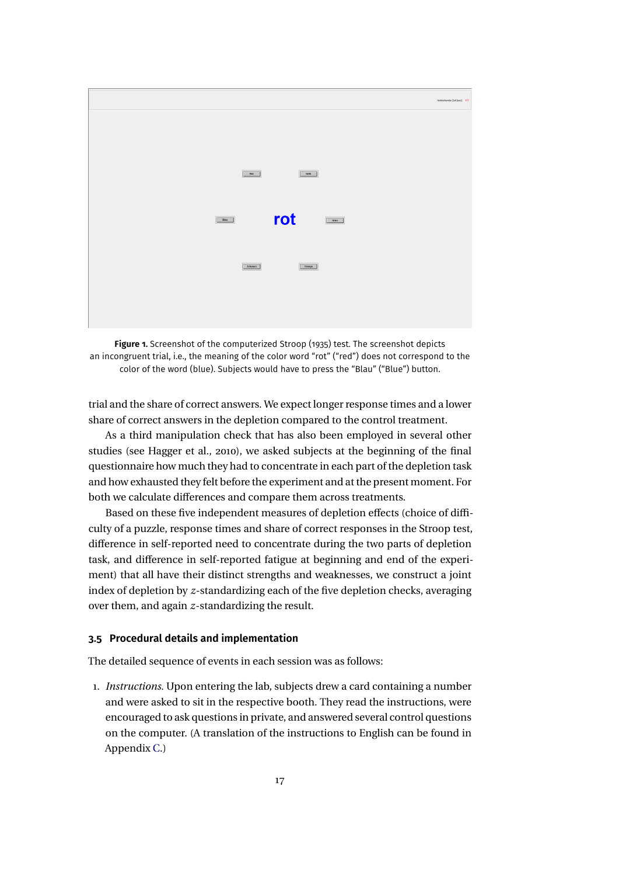<span id="page-16-0"></span>

**Figure 1.** Screenshot of the computerized Stroop [\(1935\)](#page-39-0) test. The screenshot depicts an incongruent trial, i.e., the meaning of the color word "rot" ("red") does not correspond to the color of the word (blue). Subjects would have to press the "Blau" ("Blue") button.

trial and the share of correct answers. We expect longer response times and a lower share of correct answers in the depletion compared to the control treatment.

As a third manipulation check that has also been employed in several other studies (see Hagger et al., [2010\)](#page-38-0), we asked subjects at the beginning of the final questionnaire how much they had to concentrate in each part of the depletion task and how exhausted they felt before the experiment and at the present moment. For both we calculate differences and compare them across treatments.

Based on these five independent measures of depletion effects (choice of difficulty of a puzzle, response times and share of correct responses in the Stroop test, difference in self-reported need to concentrate during the two parts of depletion task, and difference in self-reported fatigue at beginning and end of the experiment) that all have their distinct strengths and weaknesses, we construct a joint index of depletion by *z*-standardizing each of the five depletion checks, averaging over them, and again *z*-standardizing the result.

#### **3.5 Procedural details and implementation**

The detailed sequence of events in each session was as follows:

1. *Instructions.* Upon entering the lab, subjects drew a card containing a number and were asked to sit in the respective booth. They read the instructions, were encouraged to ask questions in private, and answered several control questions on the computer. (A translation of the instructions to English can be found in Appendix [C.](#page-32-0))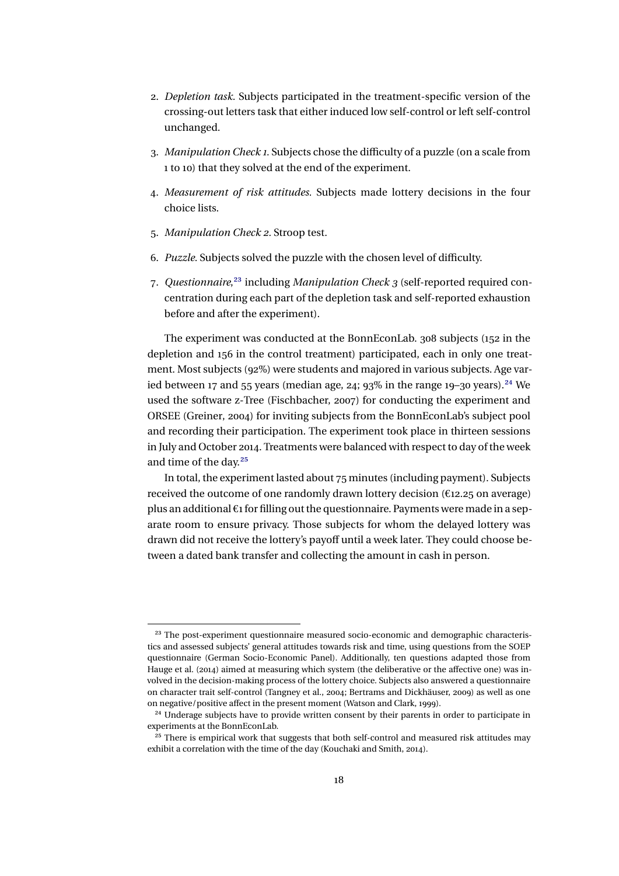- <span id="page-17-0"></span>2. *Depletion task.* Subjects participated in the treatment-specific version of the crossing-out letters task that either induced low self-control or left self-control unchanged.
- 3. *Manipulation Check 1.* Subjects chose the difficulty of a puzzle (on a scale from 1 to 10) that they solved at the end of the experiment.
- 4. *Measurement of risk attitudes.* Subjects made lottery decisions in the four choice lists.
- 5. *Manipulation Check 2.* Stroop test.
- 6. *Puzzle.* Subjects solved the puzzle with the chosen level of difficulty.
- 7. *Questionnaire*,23 including *Manipulation Check 3* (self-reported required concentration during each part of the depletion task and self-reported exhaustion before and after the experiment).

The experiment was conducted at the BonnEconLab. 308 subjects (152 in the depletion and 156 in the control treatment) participated, each in only one treatment. Most subjects (92%) were students and majored in various subjects. Age varied between 17 and 55 years (median age, 24; 93% in the range 19–30 years).<sup>24</sup> We used the software z-Tree (Fischbacher, [2007\)](#page-37-0) for conducting the experiment and ORSEE (Greiner, [2004\)](#page-38-0) for inviting subjects from the BonnEconLab's subject pool and recording their participation. The experiment took place in thirteen sessions in July and October 2014. Treatments were balanced with respect to day of the week and time of the day.25

In total, the experiment lasted about 75 minutes (including payment). Subjects received the outcome of one randomly drawn lottery decision (€12.25 on average) plus an additional  $\epsilon_1$  for filling out the questionnaire. Payments were made in a separate room to ensure privacy. Those subjects for whom the delayed lottery was drawn did not receive the lottery's payoff until a week later. They could choose between a dated bank transfer and collecting the amount in cash in person.

<sup>&</sup>lt;sup>23</sup> The post-experiment questionnaire measured socio-economic and demographic characteristics and assessed subjects' general attitudes towards risk and time, using questions from the SOEP questionnaire (German Socio-Economic Panel). Additionally, ten questions adapted those from Hauge et al. [\(2014\)](#page-38-0) aimed at measuring which system (the deliberative or the affective one) was involved in the decision-making process of the lottery choice. Subjects also answered a questionnaire on character trait self-control (Tangney et al., [2004;](#page-39-0) Bertrams and Dickhäuser, [2009\)](#page-36-0) as well as one on negative/positive affect in the present moment (Watson and Clark, [1999\)](#page-39-0).

<sup>&</sup>lt;sup>24</sup> Underage subjects have to provide written consent by their parents in order to participate in experiments at the BonnEconLab.

<sup>&</sup>lt;sup>25</sup> There is empirical work that suggests that both self-control and measured risk attitudes may exhibit a correlation with the time of the day (Kouchaki and Smith, [2014\)](#page-38-0).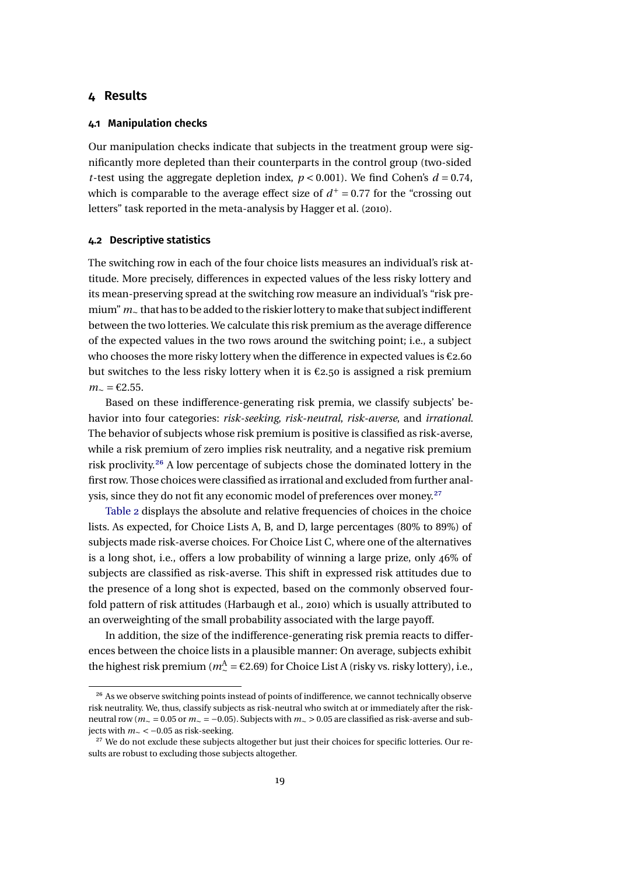#### <span id="page-18-0"></span>**4 Results**

#### **4.1 Manipulation checks**

Our manipulation checks indicate that subjects in the treatment group were significantly more depleted than their counterparts in the control group (two-sided *t*-test using the aggregate depletion index,  $p < 0.001$ ). We find Cohen's  $d = 0.74$ . which is comparable to the average effect size of  $d^+$  = 0.77 for the "crossing out letters" task reported in the meta-analysis by Hagger et al. [\(2010\)](#page-38-0).

#### **4.2 Descriptive statistics**

The switching row in each of the four choice lists measures an individual's risk attitude. More precisely, differences in expected values of the less risky lottery and its mean-preserving spread at the switching row measure an individual's "risk premium" *m*∼ that has to be added to the riskier lottery tomake that subject indifferent between the two lotteries. We calculate this risk premium as the average difference of the expected values in the two rows around the switching point; i.e., a subject who chooses the more risky lottery when the difference in expected values is  $\epsilon$ 2.60 but switches to the less risky lottery when it is  $\epsilon$ 2.50 is assigned a risk premium *m*<sup>∼</sup> = €2.55.

Based on these indifference-generating risk premia, we classify subjects' behavior into four categories: *risk-seeking*, *risk-neutral*, *risk-averse*, and *irrational*. The behavior of subjects whose risk premium is positive is classified as risk-averse, while a risk premium of zero implies risk neutrality, and a negative risk premium risk proclivity.26 A low percentage of subjects chose the dominated lottery in the first row. Those choices were classified as irrational and excluded from further analysis, since they do not fit any economic model of preferences over money.<sup>27</sup>

[Table 2](#page-19-0) displays the absolute and relative frequencies of choices in the choice lists. As expected, for Choice Lists A, B, and D, large percentages (80% to 89%) of subjects made risk-averse choices. For Choice List C, where one of the alternatives is a long shot, i.e., offers a low probability of winning a large prize, only 46% of subjects are classified as risk-averse. This shift in expressed risk attitudes due to the presence of a long shot is expected, based on the commonly observed fourfold pattern of risk attitudes (Harbaugh et al., [2010\)](#page-38-0) which is usually attributed to an overweighting of the small probability associated with the large payoff.

In addition, the size of the indifference-generating risk premia reacts to differences between the choice lists in a plausible manner: On average, subjects exhibit the highest risk premium ( $m_{\sim}^{\rm A}$  = €2.69) for Choice List A (risky vs. risky lottery), i.e.,

<sup>&</sup>lt;sup>26</sup> As we observe switching points instead of points of indifference, we cannot technically observe risk neutrality. We, thus, classify subjects as risk-neutral who switch at or immediately after the riskneutral row (*m*<sup>∼</sup> = 0.05 or *m*<sup>∼</sup> = −0.05). Subjects with *m*<sup>∼</sup> > 0.05 are classified as risk-averse and subjects with *m*<sup>∼</sup> < −0.05 as risk-seeking.

<sup>&</sup>lt;sup>27</sup> We do not exclude these subjects altogether but just their choices for specific lotteries. Our results are robust to excluding those subjects altogether.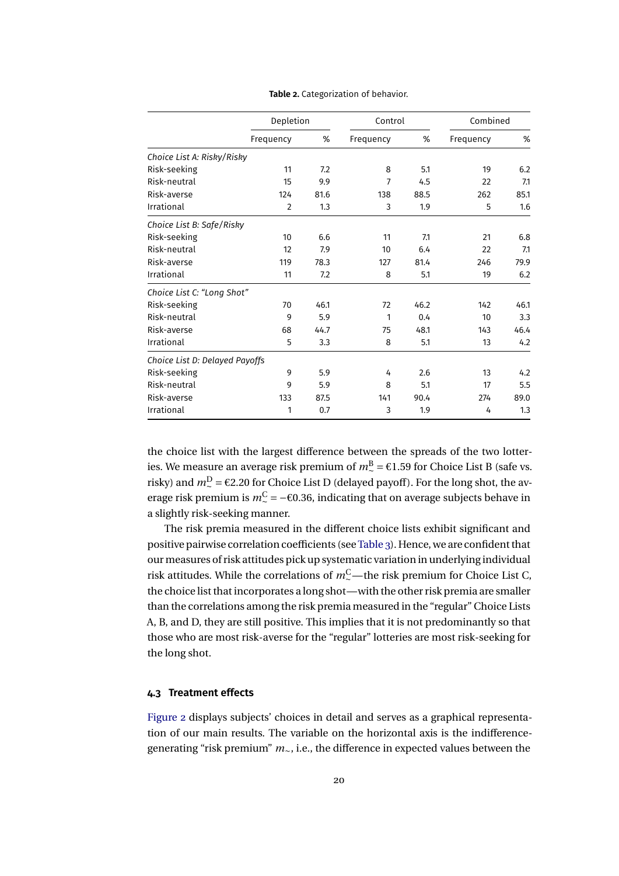<span id="page-19-0"></span>

|                                |                | Depletion |           | Control | Combined  |      |
|--------------------------------|----------------|-----------|-----------|---------|-----------|------|
|                                | Frequency      | %         | Frequency | %       | Frequency | %    |
| Choice List A: Risky/Risky     |                |           |           |         |           |      |
| Risk-seeking                   | 11             | 7.2       | 8         | 5.1     | 19        | 6.2  |
| Risk-neutral                   | 15             | 9.9       | 7         | 4.5     | 22        | 7.1  |
| Risk-averse                    | 124            | 81.6      | 138       | 88.5    | 262       | 85.1 |
| Irrational                     | $\overline{2}$ | 1.3       | 3         | 1.9     | 5         | 1.6  |
| Choice List B: Safe/Risky      |                |           |           |         |           |      |
| Risk-seeking                   | 10             | 6.6       | 11        | 7.1     | 21        | 6.8  |
| Risk-neutral                   | 12             | 7.9       | 10        | 6.4     | 22        | 7.1  |
| Risk-averse                    | 119            | 78.3      | 127       | 81.4    | 246       | 79.9 |
| Irrational                     | 11             | 7.2       | 8         | 5.1     | 19        | 6.2  |
| Choice List C: "Long Shot"     |                |           |           |         |           |      |
| Risk-seeking                   | 70             | 46.1      | 72        | 46.2    | 142       | 46.1 |
| Risk-neutral                   | 9              | 5.9       | 1         | 0.4     | 10        | 3.3  |
| Risk-averse                    | 68             | 44.7      | 75        | 48.1    | 143       | 46.4 |
| Irrational                     | 5              | 3.3       | 8         | 5.1     | 13        | 4.2  |
| Choice List D: Delayed Payoffs |                |           |           |         |           |      |
| Risk-seeking                   | 9              | 5.9       | 4         | 2.6     | 13        | 4.2  |
| Risk-neutral                   | 9              | 5.9       | 8         | 5.1     | 17        | 5.5  |
| Risk-averse                    | 133            | 87.5      | 141       | 90.4    | 274       | 89.0 |
| Irrational                     | 1              | 0.7       | 3         | 1.9     | 4         | 1.3  |

**Table 2.** Categorization of behavior.

the choice list with the largest difference between the spreads of the two lotteries. We measure an average risk premium of  $m_{\sim}^{\rm B}$  = €1.59 for Choice List B (safe vs. risky) and  $m$ <sup>D</sup> = €2.20 for Choice List D (delayed payoff). For the long shot, the average risk premium is  $m^{\text{C}}$  = −€0.36, indicating that on average subjects behave in a slightly risk-seeking manner.

The risk premia measured in the different choice lists exhibit significant and positive pairwise correlation coefficients (see[Table 3\)](#page-20-0). Hence, we are confident that our measures of risk attitudes pick up systematic variation in underlying individual risk attitudes. While the correlations of  $m_\sim^\mathrm{C}$ —the risk premium for Choice List C, the choice list that incorporates a long shot—with the other risk premia are smaller than the correlations among the risk premia measured in the "regular" Choice Lists A, B, and D, they are still positive. This implies that it is not predominantly so that those who are most risk-averse for the "regular" lotteries are most risk-seeking for the long shot.

#### **4.3 Treatment effects**

[Figure 2](#page-21-0) displays subjects' choices in detail and serves as a graphical representation of our main results. The variable on the horizontal axis is the indifferencegenerating "risk premium" *m*∼, i.e., the difference in expected values between the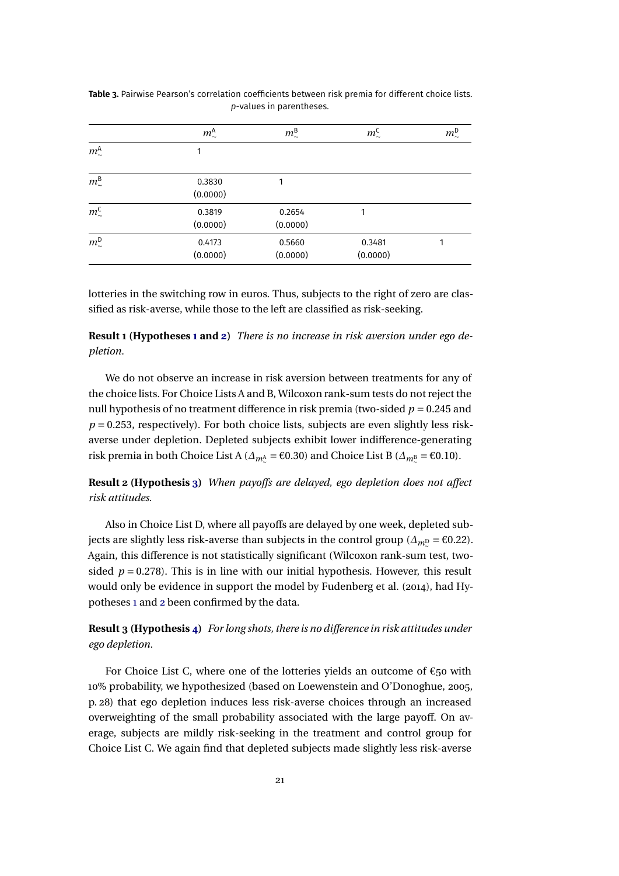|                       | $m^{\text{A}}_{\sim}$ | $m^{\text{B}}_{\sim}$ | $m^{\rm C}_{\sim}$ | $m_{\sim}^{\text{D}}$ |
|-----------------------|-----------------------|-----------------------|--------------------|-----------------------|
| $m^{\text{A}}_{\sim}$ | 1                     |                       |                    |                       |
| $m^{\text{B}}_{\sim}$ | 0.3830<br>(0.0000)    |                       |                    |                       |
| $m^{\rm C}_{\sim}$    | 0.3819<br>(0.0000)    | 0.2654<br>(0.0000)    | 1                  |                       |
| $m^D_{\sim}$          | 0.4173<br>(0.0000)    | 0.5660<br>(0.0000)    | 0.3481<br>(0.0000) |                       |

<span id="page-20-0"></span>**Table 3.** Pairwise Pearson's correlation coefficients between risk premia for different choice lists. *p*-values in parentheses.

lotteries in the switching row in euros. Thus, subjects to the right of zero are classified as risk-averse, while those to the left are classified as risk-seeking.

**Result 1 (Hypotheses [1](#page-8-0) and [2\)](#page-9-0)** *There is no increase in risk aversion under ego depletion.*

We do not observe an increase in risk aversion between treatments for any of the choice lists. For Choice Lists A and B, Wilcoxon rank-sum tests do not reject the null hypothesis of no treatment difference in risk premia (two-sided  $p = 0.245$  and  $p = 0.253$ , respectively). For both choice lists, subjects are even slightly less riskaverse under depletion. Depleted subjects exhibit lower indifference-generating risk premia in both Choice List A ( $\Delta_{m_{\sim}^{\Lambda}}$  = €0.30) and Choice List B ( $\Delta_{m_{\sim}^{\Sigma}}$  = €0.10).

**Result 2 (Hypothesis [3\)](#page-9-0)** *When payoffs are delayed, ego depletion does not affect risk attitudes.*

Also in Choice List D, where all payoffs are delayed by one week, depleted subjects are slightly less risk-averse than subjects in the control group ( $\Delta_{m}$ <sup>D</sup> = €0.22). Again, this difference is not statistically significant (Wilcoxon rank-sum test, twosided  $p = 0.278$ ). This is in line with our initial hypothesis. However, this result would only be evidence in support the model by Fudenberg et al. [\(2014\)](#page-38-0), had Hypotheses [1](#page-8-0) and [2](#page-9-0) been confirmed by the data.

**Result 3 (Hypothesis [4\)](#page-10-0)** *For long shots, there is no difference in risk attitudes under ego depletion.*

For Choice List C, where one of the lotteries yields an outcome of  $\epsilon_{50}$  with 10% probability, we hypothesized (based on Loewenstein and O'Donoghue, [2005,](#page-38-0) p. 28) that ego depletion induces less risk-averse choices through an increased overweighting of the small probability associated with the large payoff. On average, subjects are mildly risk-seeking in the treatment and control group for Choice List C. We again find that depleted subjects made slightly less risk-averse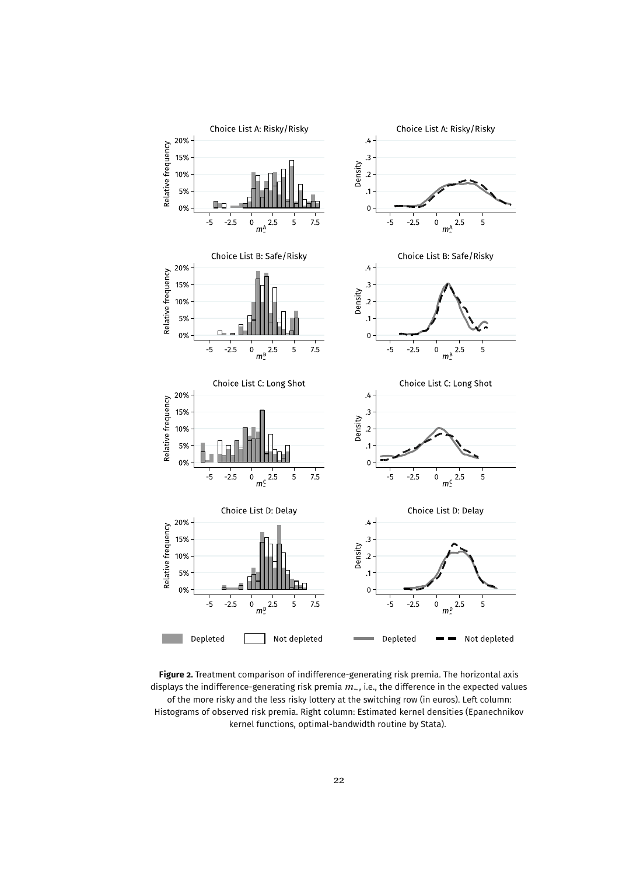<span id="page-21-0"></span>

**Figure 2.** Treatment comparison of indifference-generating risk premia. The horizontal axis displays the indifference-generating risk premia *m*∼, i.e., the difference in the expected values of the more risky and the less risky lottery at the switching row (in euros). Left column: Histograms of observed risk premia. Right column: Estimated kernel densities (Epanechnikov kernel functions, optimal-bandwidth routine by Stata).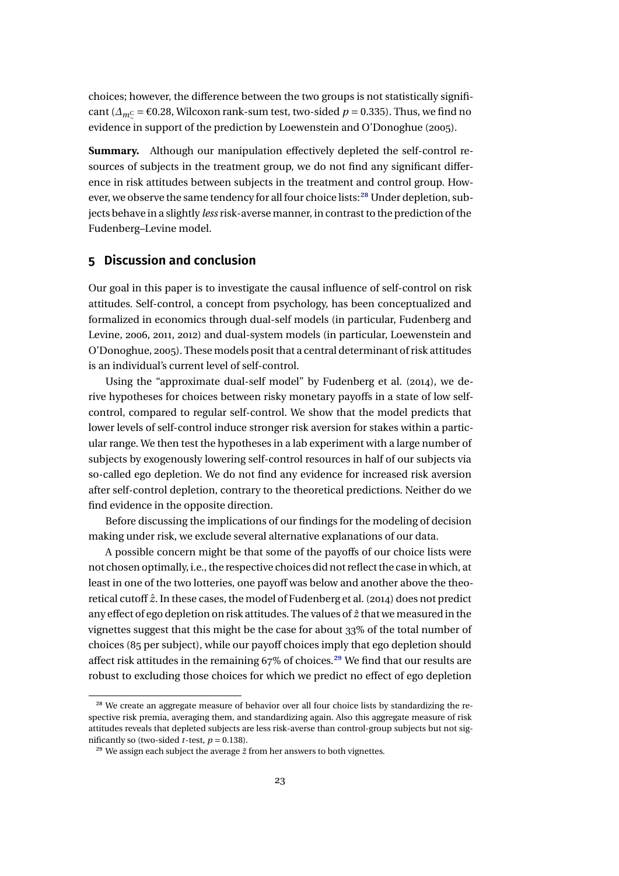<span id="page-22-0"></span>choices; however, the difference between the two groups is not statistically significant ( $\Delta_{m\text{C}}$  = €0.28, Wilcoxon rank-sum test, two-sided *p* = 0.335). Thus, we find no evidence in support of the prediction by Loewenstein and O'Donoghue [\(2005\)](#page-38-0).

**Summary.** Although our manipulation effectively depleted the self-control resources of subjects in the treatment group, we do not find any significant difference in risk attitudes between subjects in the treatment and control group. However, we observe the same tendency for all four choice lists:<sup>28</sup> Under depletion, subjects behave in a slightly *less* risk-averse manner, in contrast to the prediction of the Fudenberg–Levine model.

### **5 Discussion and conclusion**

Our goal in this paper is to investigate the causal influence of self-control on risk attitudes. Self-control, a concept from psychology, has been conceptualized and formalized in economics through dual-self models (in particular, Fudenberg and Levine, [2006,](#page-37-0) [2011,](#page-37-0) [2012\)](#page-37-0) and dual-system models (in particular, Loewenstein and O'Donoghue, [2005\)](#page-38-0). These models posit that a central determinant of risk attitudes is an individual's current level of self-control.

Using the "approximate dual-self model" by Fudenberg et al. [\(2014\)](#page-38-0), we derive hypotheses for choices between risky monetary payoffs in a state of low selfcontrol, compared to regular self-control. We show that the model predicts that lower levels of self-control induce stronger risk aversion for stakes within a particular range. We then test the hypotheses in a lab experiment with a large number of subjects by exogenously lowering self-control resources in half of our subjects via so-called ego depletion. We do not find any evidence for increased risk aversion after self-control depletion, contrary to the theoretical predictions. Neither do we find evidence in the opposite direction.

Before discussing the implications of our findings for the modeling of decision making under risk, we exclude several alternative explanations of our data.

A possible concern might be that some of the payoffs of our choice lists were not chosen optimally, i.e., the respective choices did not reflect the case in which, at least in one of the two lotteries, one payoff was below and another above the theoretical cutoff *z*ˆ. In these cases, the model of Fudenberg et al. [\(2014\)](#page-38-0) does not predict any effect of ego depletion on risk attitudes. The values of *z*ˆ that we measured in the vignettes suggest that this might be the case for about 33% of the total number of choices (85 per subject), while our payoff choices imply that ego depletion should affect risk attitudes in the remaining  $67\%$  of choices.<sup>29</sup> We find that our results are robust to excluding those choices for which we predict no effect of ego depletion

<sup>&</sup>lt;sup>28</sup> We create an aggregate measure of behavior over all four choice lists by standardizing the respective risk premia, averaging them, and standardizing again. Also this aggregate measure of risk attitudes reveals that depleted subjects are less risk-averse than control-group subjects but not significantly so (two-sided *t*-test,  $p = 0.138$ ).

<sup>&</sup>lt;sup>29</sup> We assign each subject the average  $\hat{z}$  from her answers to both vignettes.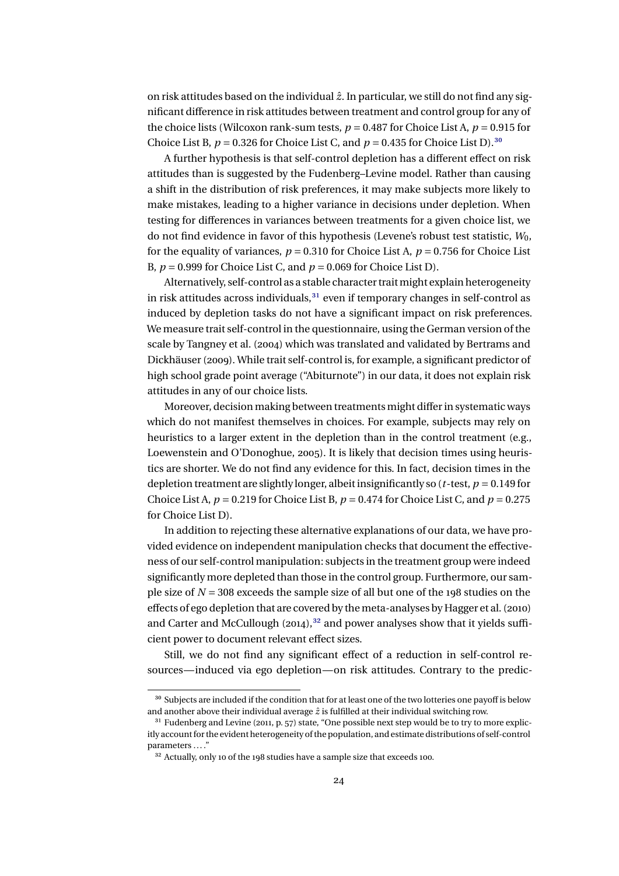<span id="page-23-0"></span>on risk attitudes based on the individual  $\hat{z}$ . In particular, we still do not find any significant difference in risk attitudes between treatment and control group for any of the choice lists (Wilcoxon rank-sum tests,  $p = 0.487$  for Choice List A,  $p = 0.915$  for Choice List B,  $p = 0.326$  for Choice List C, and  $p = 0.435$  for Choice List D).<sup>30</sup>

A further hypothesis is that self-control depletion has a different effect on risk attitudes than is suggested by the Fudenberg–Levine model. Rather than causing a shift in the distribution of risk preferences, it may make subjects more likely to make mistakes, leading to a higher variance in decisions under depletion. When testing for differences in variances between treatments for a given choice list, we do not find evidence in favor of this hypothesis (Levene's robust test statistic, *W*0, for the equality of variances,  $p = 0.310$  for Choice List A,  $p = 0.756$  for Choice List B, *p* = 0.999 for Choice List C, and *p* = 0.069 for Choice List D).

Alternatively, self-control as a stable character trait might explain heterogeneity in risk attitudes across individuals, $31$  even if temporary changes in self-control as induced by depletion tasks do not have a significant impact on risk preferences. We measure trait self-control in the questionnaire, using the German version of the scale by Tangney et al. [\(2004\)](#page-39-0) which was translated and validated by Bertrams and Dickhäuser [\(2009\)](#page-36-0). While trait self-control is, for example, a significant predictor of high school grade point average ("Abiturnote") in our data, it does not explain risk attitudes in any of our choice lists.

Moreover, decision making between treatments might differ in systematic ways which do not manifest themselves in choices. For example, subjects may rely on heuristics to a larger extent in the depletion than in the control treatment (e.g., Loewenstein and O'Donoghue, [2005\)](#page-38-0). It is likely that decision times using heuristics are shorter. We do not find any evidence for this. In fact, decision times in the depletion treatment are slightly longer, albeit insignificantly so (*t*-test, *p* = 0.149 for Choice List A,  $p = 0.219$  for Choice List B,  $p = 0.474$  for Choice List C, and  $p = 0.275$ for Choice List D).

In addition to rejecting these alternative explanations of our data, we have provided evidence on independent manipulation checks that document the effectiveness of our self-control manipulation: subjects in the treatment group were indeed significantly more depleted than those in the control group. Furthermore, our sample size of *N* = 308 exceeds the sample size of all but one of the 198 studies on the effects of ego depletion that are covered by the meta-analyses by Hagger et al. [\(2010\)](#page-38-0) and Carter and McCullough  $(2014)$ ,<sup>32</sup> and power analyses show that it yields sufficient power to document relevant effect sizes.

Still, we do not find any significant effect of a reduction in self-control resources—induced via ego depletion—on risk attitudes. Contrary to the predic-

<sup>&</sup>lt;sup>30</sup> Subjects are included if the condition that for at least one of the two lotteries one payoff is below and another above their individual average  $\hat{z}$  is fulfilled at their individual switching row.

<sup>&</sup>lt;sup>31</sup> Fudenberg and Levine [\(2011,](#page-37-0) p. 57) state, "One possible next step would be to try to more explicitly accountfor the evident heterogeneity of the population, and estimate distributions of self-control parameters ... ."

<sup>&</sup>lt;sup>32</sup> Actually, only 10 of the 198 studies have a sample size that exceeds 100.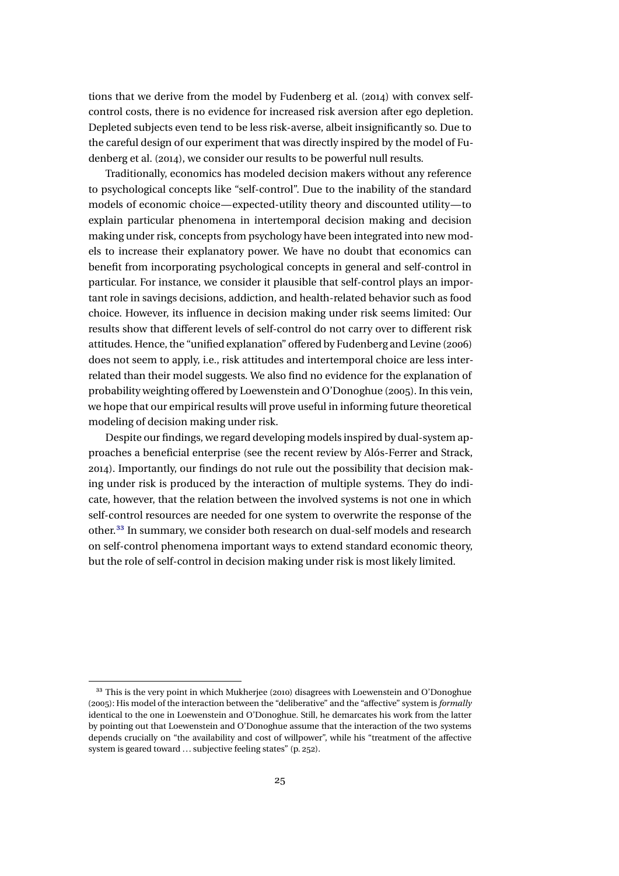<span id="page-24-0"></span>tions that we derive from the model by Fudenberg et al. [\(2014\)](#page-38-0) with convex selfcontrol costs, there is no evidence for increased risk aversion after ego depletion. Depleted subjects even tend to be less risk-averse, albeit insignificantly so. Due to the careful design of our experiment that was directly inspired by the model of Fudenberg et al. [\(2014\)](#page-38-0), we consider our results to be powerful null results.

Traditionally, economics has modeled decision makers without any reference to psychological concepts like "self-control". Due to the inability of the standard models of economic choice—expected-utility theory and discounted utility—to explain particular phenomena in intertemporal decision making and decision making under risk, concepts from psychology have been integrated into new models to increase their explanatory power. We have no doubt that economics can benefit from incorporating psychological concepts in general and self-control in particular. For instance, we consider it plausible that self-control plays an important role in savings decisions, addiction, and health-related behavior such as food choice. However, its influence in decision making under risk seems limited: Our results show that different levels of self-control do not carry over to different risk attitudes. Hence, the "unified explanation" offered by Fudenberg and Levine [\(2006\)](#page-37-0) does not seem to apply, i.e., risk attitudes and intertemporal choice are less interrelated than their model suggests. We also find no evidence for the explanation of probability weighting offered by Loewenstein and O'Donoghue [\(2005\)](#page-38-0). In this vein, we hope that our empirical results will prove useful in informing future theoretical modeling of decision making under risk.

Despite our findings, we regard developing models inspired by dual-system approaches a beneficial enterprise (see the recent review by Alós-Ferrer and Strack, [2014\)](#page-36-0). Importantly, our findings do not rule out the possibility that decision making under risk is produced by the interaction of multiple systems. They do indicate, however, that the relation between the involved systems is not one in which self-control resources are needed for one system to overwrite the response of the other.33 In summary, we consider both research on dual-self models and research on self-control phenomena important ways to extend standard economic theory, but the role of self-control in decision making under risk is most likely limited.

<sup>&</sup>lt;sup>33</sup> This is the very point in which Mukherjee [\(2010\)](#page-39-0) disagrees with Loewenstein and O'Donoghue [\(2005\)](#page-38-0): His model of the interaction between the "deliberative" and the "affective" system is *formally* identical to the one in Loewenstein and O'Donoghue. Still, he demarcates his work from the latter by pointing out that Loewenstein and O'Donoghue assume that the interaction of the two systems depends crucially on "the availability and cost of willpower", while his "treatment of the affective system is geared toward ... subjective feeling states" (p. 252).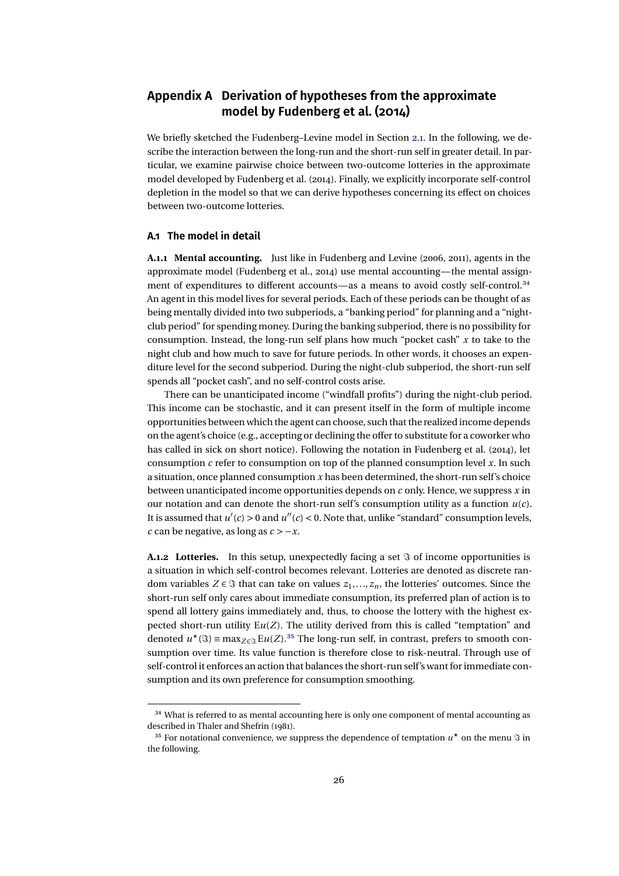### <span id="page-25-0"></span>**Appendix A Derivation of hypotheses from the approximate model by Fudenberg et al. (2014)**

We briefly sketched the Fudenberg–Levine model in Section [2.1.](#page-8-0) In the following, we describe the interaction between the long-run and the short-run self in greater detail. In particular, we examine pairwise choice between two-outcome lotteries in the approximate model developed by Fudenberg et al. [\(2014\)](#page-38-0). Finally, we explicitly incorporate self-control depletion in the model so that we can derive hypotheses concerning its effect on choices between two-outcome lotteries.

#### **A.1 The model in detail**

**A.1.1 Mental accounting.** Just like in Fudenberg and Levine [\(2006,](#page-37-0) [2011\)](#page-37-0), agents in the approximate model (Fudenberg et al., [2014\)](#page-38-0) use mental accounting—the mental assignment of expenditures to different accounts—as a means to avoid costly self-control.<sup>34</sup> An agent in this model lives for several periods. Each of these periods can be thought of as being mentally divided into two subperiods, a "banking period" for planning and a "nightclub period" for spending money. During the banking subperiod, there is no possibility for consumption. Instead, the long-run self plans how much "pocket cash" *x* to take to the night club and how much to save for future periods. In other words, it chooses an expenditure level for the second subperiod. During the night-club subperiod, the short-run self spends all "pocket cash", and no self-control costs arise.

There can be unanticipated income ("windfall profits") during the night-club period. This income can be stochastic, and it can present itself in the form of multiple income opportunities between which the agent can choose, such that the realized income depends on the agent's choice (e.g., accepting or declining the offer to substitute for a coworker who has called in sick on short notice). Following the notation in Fudenberg et al. [\(2014\)](#page-38-0), let consumption *c* refer to consumption on top of the planned consumption level *x*. In such a situation, once planned consumption *x* has been determined, the short-run self's choice between unanticipated income opportunities depends on *c* only. Hence, we suppress *x* in our notation and can denote the short-run self's consumption utility as a function *u*(*c*). It is assumed that  $u'(c) > 0$  and  $u''(c) < 0$ . Note that, unlike "standard" consumption levels, *c* can be negative, as long as *c* > −*x*.

**A.1.2 Lotteries.** In this setup, unexpectedly facing a set  $\Im$  of income opportunities is a situation in which self-control becomes relevant. Lotteries are denoted as discrete random variables  $Z \in \Im$  that can take on values  $z_1, \ldots, z_n$ , the lotteries' outcomes. Since the short-run self only cares about immediate consumption, its preferred plan of action is to spend all lottery gains immediately and, thus, to choose the lottery with the highest expected short-run utility  $Eu(Z)$ . The utility derived from this is called "temptation" and denoted  $u^*(\Im) \equiv \max_{Z \in \Im} Eu(Z)$ .<sup>35</sup> The long-run self, in contrast, prefers to smooth consumption over time. Its value function is therefore close to risk-neutral. Through use of self-control it enforces an action that balances the short-run self's want for immediate consumption and its own preference for consumption smoothing.

<sup>&</sup>lt;sup>34</sup> What is referred to as mental accounting here is only one component of mental accounting as described in Thaler and Shefrin [\(1981\)](#page-39-0).

<sup>&</sup>lt;sup>35</sup> For notational convenience, we suppress the dependence of temptation  $u^*$  on the menu  $\Im$  in the following.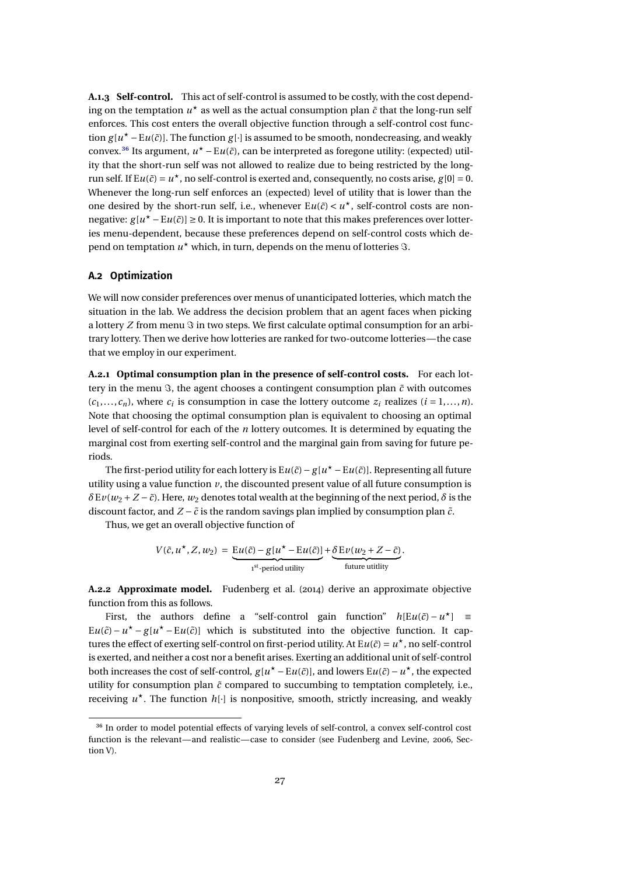<span id="page-26-0"></span>**A.1.3 Self-control.** This act of self-control is assumed to be costly, with the cost depending on the temptation  $u^*$  as well as the actual consumption plan  $\tilde{c}$  that the long-run self enforces. This cost enters the overall objective function through a self-control cost function  $g[u^* - Eu(\tilde{c})]$ . The function  $g[\cdot]$  is assumed to be smooth, nondecreasing, and weakly convex.<sup>36</sup> Its argument,  $u<sup>★</sup> - Eu(č)$ , can be interpreted as foregone utility: (expected) utility that the short-run self was not allowed to realize due to being restricted by the longrun self. If  $Eu(\tilde{c}) = u^*$ , no self-control is exerted and, consequently, no costs arise,  $g[0] = 0$ . Whenever the long-run self enforces an (expected) level of utility that is lower than the one desired by the short-run self, i.e., whenever  $Eu(\tilde{c}) < u^*$ , self-control costs are nonnegative:  $g[u^* - Eu(\tilde{c})] ≥ 0$ . It is important to note that this makes preferences over lotteries menu-dependent, because these preferences depend on self-control costs which depend on temptation  $u^\star$  which, in turn, depends on the menu of lotteries  $\Im.$ 

#### **A.2 Optimization**

We will now consider preferences over menus of unanticipated lotteries, which match the situation in the lab. We address the decision problem that an agent faces when picking a lottery *Z* from menu  $\Im$  in two steps. We first calculate optimal consumption for an arbitrary lottery. Then we derive how lotteries are ranked for two-outcome lotteries—the case that we employ in our experiment.

**A.2.1 Optimal consumption plan in the presence of self-control costs.** For each lottery in the menu  $\Im$ , the agent chooses a contingent consumption plan  $\tilde{c}$  with outcomes  $(c_1, \ldots, c_n)$ , where  $c_i$  is consumption in case the lottery outcome  $z_i$  realizes  $(i = 1, \ldots, n)$ . Note that choosing the optimal consumption plan is equivalent to choosing an optimal level of self-control for each of the *n* lottery outcomes. It is determined by equating the marginal cost from exerting self-control and the marginal gain from saving for future periods.

The first-period utility for each lottery is E $u(\tilde{c}) - g[u^{\star} - \text{E}u(\tilde{c})]$ . Representing all future utility using a value function  $\nu$ , the discounted present value of all future consumption is  $δ$ E*v*(*w*<sub>2</sub> + *Z* −  $\tilde{c}$ ). Here, *w*<sub>2</sub> denotes total wealth at the beginning of the next period,  $\delta$  is the discount factor, and  $Z - \tilde{c}$  is the random savings plan implied by consumption plan  $\tilde{c}$ .

Thus, we get an overall objective function of

$$
V(\tilde{c}, u^{\star}, Z, w_2) = \underbrace{\mathrm{E}u(\tilde{c}) - g[u^{\star} - \mathrm{E}u(\tilde{c})]}_{\mathrm{1}^{\mathrm{st}}\text{-period utility}} + \underbrace{\delta \mathrm{E}v(w_2 + Z - \tilde{c})}_{\mathrm{future utility}}.
$$

**A.2.2 Approximate model.** Fudenberg et al. [\(2014\)](#page-38-0) derive an approximate objective function from this as follows.

First, the authors define a "self-control gain function"  $h[Eu(\tilde{c}) - u^*]$  =  $Eu(\tilde{c}) - u^* - g[u^* - Eu(\tilde{c})]$  which is substituted into the objective function. It captures the effect of exerting self-control on first-period utility. At  $Eu(\tilde{c}) = u^*$ , no self-control is exerted, and neither a cost nor a benefit arises. Exerting an additional unit of self-control both increases the cost of self-control,  $g[u^* - Eu(\tilde{c})]$ , and lowers  $Eu(\tilde{c}) - u^*$ , the expected utility for consumption plan  $\tilde{c}$  compared to succumbing to temptation completely, i.e., receiving  $u^*$ . The function  $h[\cdot]$  is nonpositive, smooth, strictly increasing, and weakly

<sup>&</sup>lt;sup>36</sup> In order to model potential effects of varying levels of self-control, a convex self-control cost function is the relevant—and realistic—case to consider (see Fudenberg and Levine, [2006,](#page-37-0) Section V).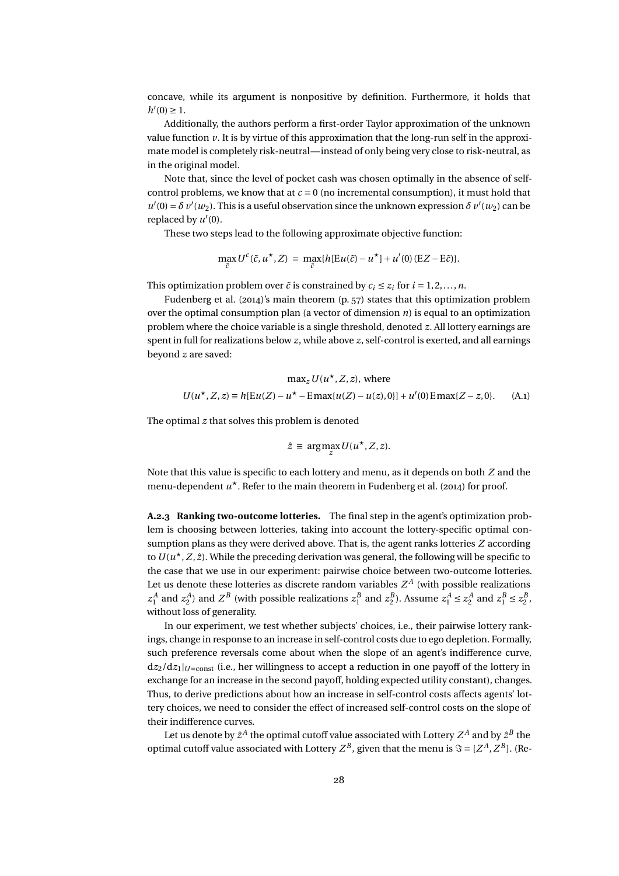<span id="page-27-0"></span>concave, while its argument is nonpositive by definition. Furthermore, it holds that  $h'(0) \geq 1.$ 

Additionally, the authors perform a first-order Taylor approximation of the unknown value function *v*. It is by virtue of this approximation that the long-run self in the approximate model is completely risk-neutral—instead of only being very close to risk-neutral, as in the original model.

Note that, since the level of pocket cash was chosen optimally in the absence of selfcontrol problems, we know that at  $c = 0$  (no incremental consumption), it must hold that  $u'(0) = \delta v'(w_2)$ . This is a useful observation since the unknown expression  $\delta v'(w_2)$  can be replaced by  $u'(0)$ .

These two steps lead to the following approximate objective function:

$$
\max_{\tilde{c}} U^c(\tilde{c},u^\star,Z) = \max_{\tilde{c}} \{h[\mathrm{E} u(\tilde{c})-u^\star] + u'(0)(\mathrm{E} Z - \mathrm{E} \tilde{c})\}.
$$

This optimization problem over  $\tilde{c}$  is constrained by  $c_i \leq z_i$  for  $i = 1, 2, ..., n$ .

Fudenberg et al. [\(2014\)](#page-38-0)'s main theorem (p. 57) states that this optimization problem over the optimal consumption plan (a vector of dimension *n*) is equal to an optimization problem where the choice variable is a single threshold, denoted *z*. All lottery earnings are spent in full for realizations below *z*, while above *z*, self-control is exerted, and all earnings beyond *z* are saved:

$$
\max_{z} U(u^*, Z, z), \text{ where}
$$
  

$$
U(u^*, Z, z) \equiv h[Eu(Z) - u^* - E\max\{u(Z) - u(z), 0\}] + u'(0) E\max\{Z - z, 0\}. \tag{A.1}
$$

The optimal *z* that solves this problem is denoted

$$
\hat{z} \equiv \arg\max_{z} U(u^{\star}, Z, z).
$$

Note that this value is specific to each lottery and menu, as it depends on both *Z* and the menu-dependent  $u^*$ . Refer to the main theorem in Fudenberg et al. [\(2014\)](#page-38-0) for proof.

**A.2.3 Ranking two-outcome lotteries.** The final step in the agent's optimization problem is choosing between lotteries, taking into account the lottery-specific optimal consumption plans as they were derived above. That is, the agent ranks lotteries *Z* according to  $U(u^{\star}, Z, \hat{z})$ . While the preceding derivation was general, the following will be specific to the case that we use in our experiment: pairwise choice between two-outcome lotteries. Let us denote these lotteries as discrete random variables  $Z^A$  (with possible realizations  $z_1^A$  and  $z_2^A$ ) and  $Z^B$  (with possible realizations  $z_1^B$  and  $z_2^B$ ). Assume  $z_1^A \le z_2^A$  and  $z_1^B \le z_2^B$ , without loss of generality.

In our experiment, we test whether subjects' choices, i.e., their pairwise lottery rankings, change in response to an increase in self-control costs due to ego depletion. Formally, such preference reversals come about when the slope of an agent's indifference curve,  $dz_2/dz_1|_{U=\text{const}}$  (i.e., her willingness to accept a reduction in one payoff of the lottery in exchange for an increase in the second payoff, holding expected utility constant), changes. Thus, to derive predictions about how an increase in self-control costs affects agents' lottery choices, we need to consider the effect of increased self-control costs on the slope of their indifference curves.

Let us denote by  $\hat{z}^A$  the optimal cutoff value associated with Lottery  $Z^A$  and by  $\hat{z}^B$  the optimal cutoff value associated with Lottery  $Z^B$ , given that the menu is  $\Im = \{Z^A, Z^B\}$ . (Re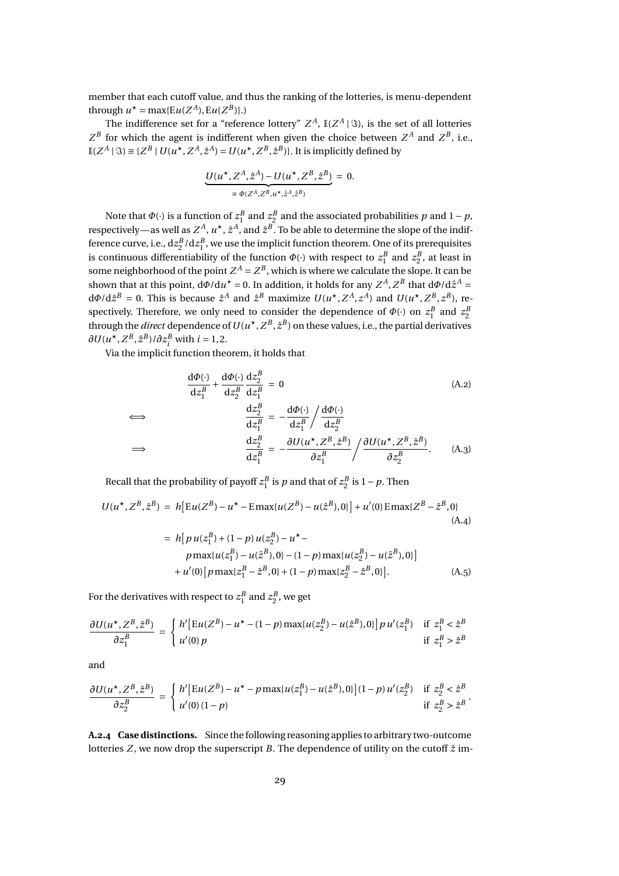member that each cutoff value, and thus the ranking of the lotteries, is menu-dependent through  $u^* = \max\{Eu(Z^A), Eu(Z^B)\}.$ 

The indifference set for a "reference lottery"  $Z^A$ ,  $\mathbb{I}(Z^A \,|\, \Im)$ , is the set of all lotteries  $Z^B$  for which the agent is indifferent when given the choice between  $Z^A$  and  $Z^B$ , i.e.,  $\mathbb{I}(Z^A \mid \Im) \equiv \{Z^B \mid U(u^{\star}, Z^A, \hat{z}^A) = U(u^{\star}, Z^B, \hat{z}^B)\}\.$  It is implicitly defined by

$$
\underbrace{U(u^\star, Z^A, \hat{z}^A) - U(u^\star, Z^B, \hat{z}^B)}_{\equiv \Phi(Z^A, Z^B, u^\star, \hat{z}^A, \hat{z}^B)} = 0.
$$

Note that  $\Phi(\cdot)$  is a function of  $z_1^B$  and  $z_2^B$  and the associated probabilities  $p$  and  $1-p$ , respectively—as well as  $Z^A$ ,  $u^\star$  ,  $\hat{z}^A$ , and  $\hat{z}^B$ . To be able to determine the slope of the indifference curve, i.e.,  $dz_2^B/dz_1^B$ , we use the implicit function theorem. One of its prerequisites is continuous differentiability of the function  $\Phi(\cdot)$  with respect to  $z_1^B$  and  $z_2^B$ , at least in some neighborhood of the point  $Z^A = Z^B$ , which is where we calculate the slope. It can be shown that at this point,  $d\Phi/du^* = 0$ . In addition, it holds for any  $Z^A$ ,  $Z^B$  that  $d\Phi/d\hat{z}^A = 0$  $d\Phi/d\hat{z}^B = 0$ . This is because  $\hat{z}^A$  and  $\hat{z}^B$  maximize  $U(u^{\star}, Z^A, z^A)$  and  $U(u^{\star}, Z^B, z^B)$ , respectively. Therefore, we only need to consider the dependence of  $\Phi(\cdot)$  on  $z_1^B$  and  $z_2^B$ through the *direct* dependence of  $U(u^\star, Z^B, \hat z^B)$  on these values, i.e., the partial derivatives  $\partial U(u^{\star}, Z^B, \hat{z}^B)/\partial z_i^B$  with  $i = 1, 2$ .

Via the implicit function theorem, it holds that

$$
\frac{d\Phi(\cdot)}{dz_1^B} + \frac{d\Phi(\cdot)}{dz_2^B} \frac{dz_2^B}{dz_1^B} = 0
$$
\n
$$
\Leftrightarrow \frac{dz_2^B}{dz_1^B} = -\frac{d\Phi(\cdot)}{dz_1^B} / \frac{d\Phi(\cdot)}{dz_2^B}
$$
\n
$$
\Leftrightarrow \frac{dz_2^B}{dz_1^B} = -\frac{\partial U(u^*, Z^B, \hat{z}^B)}{\partial z_1^B} / \frac{\partial U(u^*, Z^B, \hat{z}^B)}{\partial z_2^B}.
$$
\n(A.3)

Recall that the probability of payoff  $z_1^B$  is  $p$  and that of  $z_2^B$  is  $1-p$ . Then

$$
U(u^*, Z^B, \hat{z}^B) = h[Eu(Z^B) - u^* - E\max\{u(Z^B) - u(\hat{z}^B), 0\}] + u'(0)E\max\{Z^B - \hat{z}^B, 0\}
$$
\n(A.4)\n
$$
= h[p u(z_1^B) + (1 - p) u(z_2^B) - u^* -
$$

$$
p \max\{u(z_1^B) - u(\hat{z}^B), 0\} - (1 - p) \max\{u(z_2^B) - u(\hat{z}^B), 0\}\]
$$
  
+ 
$$
u'(0) \left[p \max\{z_1^B - \hat{z}^B, 0\} + (1 - p) \max\{z_2^B - \hat{z}^B, 0\}\right].
$$
 (A.5)

.

For the derivatives with respect to  $z_1^B$  and  $z_2^B$ , we get

$$
\frac{\partial U(u^\star, Z^B, \hat{z}^B)}{\partial z_1^B} = \begin{cases} h' \big[ \text{Eu}(Z^B) - u^\star - (1 - p) \max\{u(z_2^B) - u(\hat{z}^B), 0\} \big] p \, u'(z_1^B) & \text{if } z_1^B < \hat{z}^B \\ u'(0) \, p & \text{if } z_1^B > \hat{z}^B \end{cases}
$$

and

=⇒

$$
\frac{\partial U(u^\star,Z^B,\hat{z}^B)}{\partial z_2^B} \ = \ \left\{ \begin{array}{ll} h' \big[{\rm E} u(Z^B)-u^\star-p\max\{u(z_1^B)-u(\hat{z}^B),0\}\big](1-p)\,u'(z_2^B) & \mbox{if } z_2^B<\hat{z}^B \\ u'(0)\,(1-p) & \mbox{if } z_2^B>\hat{z}^B \end{array} \right.
$$

**A.2.4 Case distinctions.** Since thefollowing reasoning applies to arbitrary two-outcome lotteries  $Z$ , we now drop the superscript  $B$ . The dependence of utility on the cutoff  $\hat{z}$  im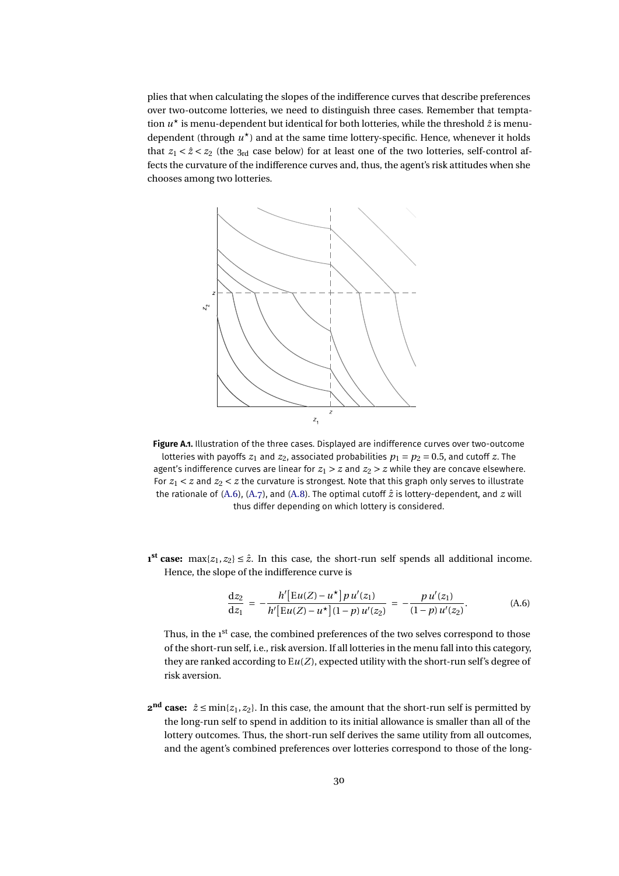<span id="page-29-0"></span>plies that when calculating the slopes of the indifference curves that describe preferences over two-outcome lotteries, we need to distinguish three cases. Remember that temptation  $u^*$  is menu-dependent but identical for both lotteries, while the threshold  $\hat{z}$  is menudependent (through  $u^*$ ) and at the same time lottery-specific. Hence, whenever it holds that  $z_1 < \hat{z} < z_2$  (the 3<sub>rd</sub> case below) for at least one of the two lotteries, self-control affects the curvature of the indifference curves and, thus, the agent's risk attitudes when she chooses among two lotteries.



**Figure A.1.** Illustration of the three cases. Displayed are indifference curves over two-outcome lotteries with payoffs  $z_1$  and  $z_2$ , associated probabilities  $p_1 = p_2 = 0.5$ , and cutoff  $z$ . The agent's indifference curves are linear for  $z_1 > z$  and  $z_2 > z$  while they are concave elsewhere. For  $z_1 < z$  and  $z_2 < z$  the curvature is strongest. Note that this graph only serves to illustrate the rationale of  $(A.6)$ ,  $(A.7)$ , and  $(A.8)$ . The optimal cutoff  $\hat{z}$  is lottery-dependent, and  $z$  will thus differ depending on which lottery is considered.

 $\mathbf{1}^{\mathbf{st}}$  **case:** max $\{z_1, z_2\} \leq \hat{z}$ . In this case, the short-run self spends all additional income. Hence, the slope of the indifference curve is

$$
\frac{dz_2}{dz_1} = -\frac{h'[Eu(Z) - u^\star]p u'(z_1)}{h'[Eu(Z) - u^\star](1 - p) u'(z_2)} = -\frac{p u'(z_1)}{(1 - p) u'(z_2)}.
$$
\n(A.6)

Thus, in the 1<sup>st</sup> case, the combined preferences of the two selves correspond to those of the short-run self, i.e., risk aversion. If all lotteries in the menu fall into this category, they are ranked according to E*u*(*Z*), expected utility with the short-run self's degree of risk aversion.

**2<sup>nd</sup> case:**  $\hat{z}$  ≤ min{*z*<sub>1</sub>, *z*<sub>2</sub>}. In this case, the amount that the short-run self is permitted by the long-run self to spend in addition to its initial allowance is smaller than all of the lottery outcomes. Thus, the short-run self derives the same utility from all outcomes, and the agent's combined preferences over lotteries correspond to those of the long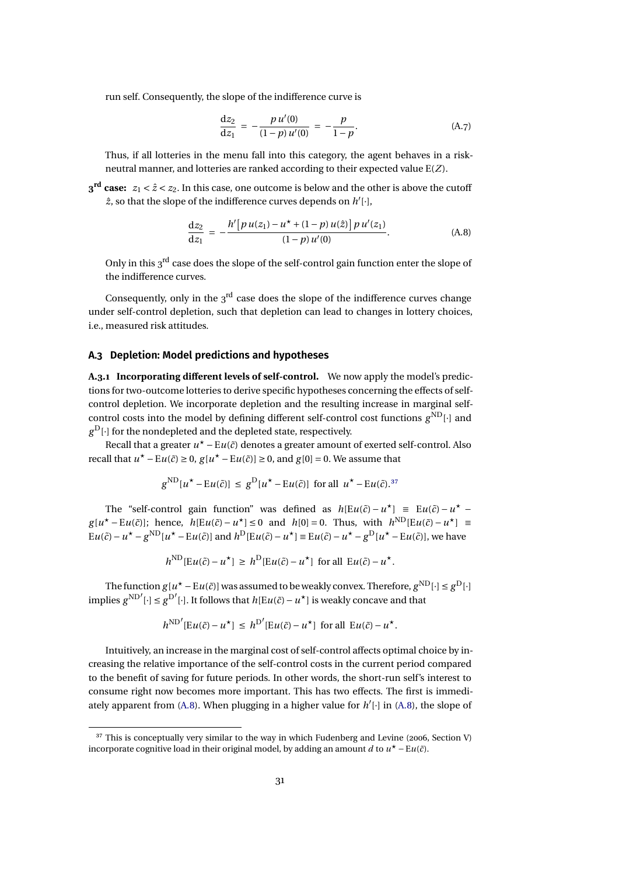<span id="page-30-0"></span>run self. Consequently, the slope of the indifference curve is

$$
\frac{\mathrm{d}z_2}{\mathrm{d}z_1} = -\frac{p u'(0)}{(1-p) u'(0)} = -\frac{p}{1-p}.\tag{A.7}
$$

Thus, if all lotteries in the menu fall into this category, the agent behaves in a riskneutral manner, and lotteries are ranked according to their expected value E(*Z*).

 $3^{\text{rd}}$  **case:**  $z_1 < \hat{z} < z_2$ . In this case, one outcome is below and the other is above the cutoff  $\hat{z}$ , so that the slope of the indifference curves depends on  $h'[\cdot]$ ,

$$
\frac{dz_2}{dz_1} = -\frac{h'[p u(z_1) - u^* + (1-p) u(\hat{z})] p u'(z_1)}{(1-p) u'(0)}.
$$
\n(A.8)

Only in this 3<sup>rd</sup> case does the slope of the self-control gain function enter the slope of the indifference curves.

Consequently, only in the  $3<sup>rd</sup>$  case does the slope of the indifference curves change under self-control depletion, such that depletion can lead to changes in lottery choices, i.e., measured risk attitudes.

#### **A.3 Depletion: Model predictions and hypotheses**

**A.3.1 Incorporating different levels of self-control.** We now apply the model's predictions for two-outcome lotteries to derive specific hypotheses concerning the effects of selfcontrol depletion. We incorporate depletion and the resulting increase in marginal selfcontrol costs into the model by defining different self-control cost functions *g* ND[·] and *g* <sup>D</sup>[·] for the nondepleted and the depleted state, respectively.

Recall that a greater  $u^* - \mathrm{E} u(\tilde{c})$  denotes a greater amount of exerted self-control. Also recall that  $u^* - Eu(\tilde{c}) \ge 0$ ,  $g[u^* - Eu(\tilde{c})] \ge 0$ , and  $g[0] = 0$ . We assume that

$$
g^{\text{ND}}[u^* - Eu(\tilde{c})] \leq g^{\text{D}}[u^* - Eu(\tilde{c})]
$$
 for all  $u^* - Eu(\tilde{c})$ .<sup>37</sup>

The "self-control gain function" was defined as  $h[Eu(\tilde{c}) - u^*] \equiv Eu(\tilde{c}) - u^*$  $g[u^* - Eu(\tilde{c})]$ ; hence,  $h[Eu(\tilde{c}) - u^*] \le 0$  and  $h[0] = 0$ . Thus, with  $h^{\text{ND}}[Eu(\tilde{c}) - u^*] \equiv$  $Eu(\tilde{c}) - u^* - g^{ND}[u^* - Eu(\tilde{c})]$  and  $h^D[Eu(\tilde{c}) - u^*] \equiv Eu(\tilde{c}) - u^* - g^D[u^* - Eu(\tilde{c})]$ , we have

$$
h^{\text{ND}}[\mathcal{E}u(\tilde{c}) - u^{\star}] \geq h^{\text{D}}[\mathcal{E}u(\tilde{c}) - u^{\star}] \text{ for all } \mathcal{E}u(\tilde{c}) - u^{\star}.
$$

The function  $g[u^* - \mathrm{E} u(\tilde{c})]$  was assumed to be weakly convex. Therefore,  $g^{\mathrm{ND}}[\cdot] \leq g^{\mathrm{D}}[\cdot]$ implies  $g^{ND'}$ [·] ≤  $g^{D'}$ [·]. It follows that  $h[Eu(\tilde{c}) – u^{\star}]$  is weakly concave and that

$$
h^{\text{ND}'}[\mathcal{E}u(\tilde{c}) - u^{\star}] \leq h^{\text{D}'}[\mathcal{E}u(\tilde{c}) - u^{\star}] \text{ for all } \mathcal{E}u(\tilde{c}) - u^{\star}.
$$

Intuitively, an increase in the marginal cost of self-control affects optimal choice by increasing the relative importance of the self-control costs in the current period compared to the benefit of saving for future periods. In other words, the short-run self's interest to consume right now becomes more important. This has two effects. The first is immediately apparent from (A.8). When plugging in a higher value for  $h'[\cdot]$  in (A.8), the slope of

<sup>&</sup>lt;sup>37</sup> This is conceptually very similar to the way in which Fudenberg and Levine [\(2006,](#page-37-0) Section V) incorporate cognitive load in their original model, by adding an amount *d* to  $u^* - Eu(\tilde{c})$ .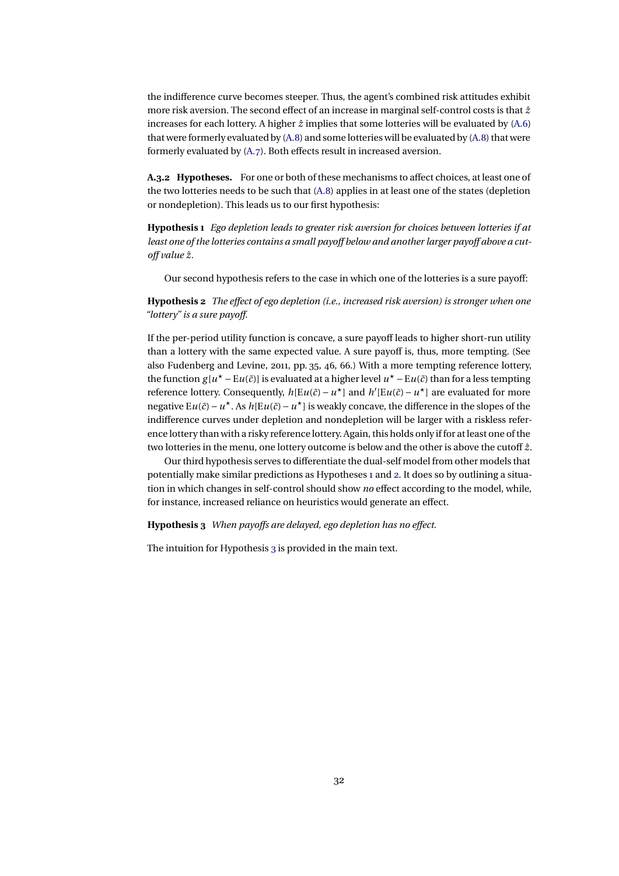<span id="page-31-0"></span>the indifference curve becomes steeper. Thus, the agent's combined risk attitudes exhibit more risk aversion. The second effect of an increase in marginal self-control costs is that *z*ˆ increases for each lottery. A higher  $\hat{z}$  implies that some lotteries will be evaluated by [\(A.6\)](#page-29-0) that were formerly evaluated by [\(A.8\)](#page-30-0) and some lotteries will be evaluated by [\(A.8\)](#page-30-0) that were formerly evaluated by [\(A.7\)](#page-30-0). Both effects result in increased aversion.

**A.3.2 Hypotheses.** For one or both of these mechanisms to affect choices, at least one of the two lotteries needs to be such that [\(A.8\)](#page-30-0) applies in at least one of the states (depletion or nondepletion). This leads us to our first hypothesis:

**Hypothesis 1** *Ego depletion leads to greater risk aversion for choices between lotteries if at least one of the lotteries contains a small payoff below and another larger payoff above a cutoff value z*ˆ*.*

Our second hypothesis refers to the case in which one of the lotteries is a sure payoff:

**Hypothesis 2** *The effect of ego depletion (i.e., increased risk aversion) is stronger when one "lottery" is a sure payoff.*

If the per-period utility function is concave, a sure payoff leads to higher short-run utility than a lottery with the same expected value. A sure payoff is, thus, more tempting. (See also Fudenberg and Levine, [2011,](#page-37-0) pp. 35, 46, 66.) With a more tempting reference lottery, the function  $g[u^* - Eu(\tilde{c})]$  is evaluated at a higher level  $u^* - Eu(\tilde{c})$  than for a less tempting reference lottery. Consequently,  $h[Eu(\tilde{c}) – u^{\star}]$  and  $h'[Eu(\tilde{c}) – u^{\star}]$  are evaluated for more negative E*u*(*č*) − *u*<sup>★</sup>. As *h*[E*u*(*č*) − *u*<sup>★</sup>] is weakly concave, the difference in the slopes of the indifference curves under depletion and nondepletion will be larger with a riskless reference lottery than with a risky reference lottery. Again, this holds only if for at least one of the two lotteries in the menu, one lottery outcome is below and the other is above the cutoff *z*ˆ.

Our third hypothesis serves to differentiate the dual-self model from other models that potentially make similar predictions as Hypotheses [1](#page-8-0) and [2.](#page-9-0) It does so by outlining a situation in which changes in self-control should show *no* effect according to the model, while, for instance, increased reliance on heuristics would generate an effect.

**Hypothesis 3** *When payoffs are delayed, ego depletion has no effect.*

The intuition for Hypothesis [3](#page-9-0) is provided in the main text.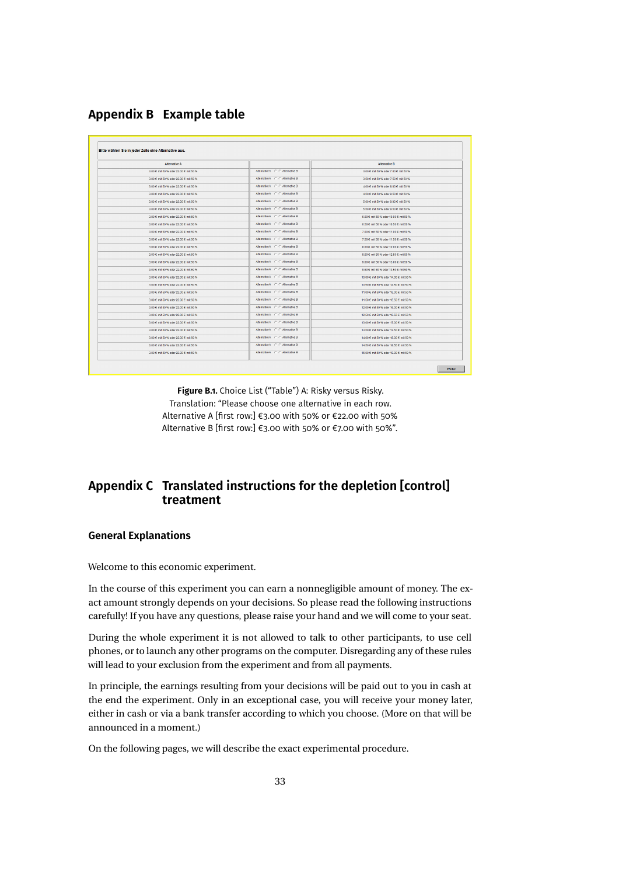<span id="page-32-0"></span>**Appendix B Example table**

| <b>Alternative A</b>                  |                                 | <b>Alternative B</b>                   |
|---------------------------------------|---------------------------------|----------------------------------------|
| 3.00 € mit 50 % oder 22.00 € mit 50 % | Alternative A C C Alternative B | 3.00 € mit 50 % oder 7.00 € mit 50 %   |
| 3.00 € mit 50 % oder 22.00 € mit 50 % | Alternative A C C Alternative B | 3.50 € mit 50 % oder 7.50 € mit 50 %   |
| 3.00 € mit 50 % oder 22.00 € mit 50 % | Alternative A C C Alternative B | 4.00 € mit 50 % oder 8.00 € mit 50 %   |
| 3.00 € mit 50 % oder 22.00 € mit 50 % | Alternative A C C Alternative B | 4.50 € mit 50 % oder 8.50 € mit 50 %   |
| 3.00 € mit 50 % oder 22.00 € mit 50 % | Alternative A C C Alternative B | 5.00 € mit 50 % oder 9.00 € mit 50 %   |
| 3.00 € mit 50 % oder 22.00 € mit 50 % | Alternative A C C Alternative B | 5.50 € mit 50 % oder 9.50 € mit 50 %   |
| 3.00 € mit 50 % oder 22.00 € mit 50 % | Alternative A C C Alternative B | 6.00 € mit 50 % oder 10.00 € mit 50 %  |
| 3.00 € mit 50 % oder 22.00 € mit 50 % | Alternative A C C Alternative B | 6.50 € mit 50 % oder 10.50 € mit 50 %  |
| 3.00 € mit 50 % oder 22.00 € mit 50 % | Alternative A C C Alternative B | 7.00 € mit 50 % oder 11.00 € mit 50 %  |
| 3.00 € mit 50 % oder 22.00 € mit 50 % | Alternative A C C Alternative B | 7.50 € mit 50 % oder 11.50 € mit 50 %  |
| 3.00 € mit 50 % oder 22.00 € mit 50 % | Alternative A C C Alternative B | 8.00 € mit 50 % oder 12.00 € mit 50 %  |
| 3.00 € mit 50 % oder 22.00 € mit 50 % | Alternative A C C Alternative B | 8.50 € mit 50 % oder 12.50 € mit 50 %  |
| 3.00 € mit 50 % oder 22.00 € mit 50 % | Alternative A C C Alternative B | 9.00 € mit 50 % oder 13.00 € mit 50 %  |
| 3.00 € mit 50 % oder 22.00 € mit 50 % | Alternative A C C Alternative B | 9.50 € mit 50 % oder 13.50 € mit 50 %  |
| 3.00 € mit 50 % oder 22.00 € mit 50 % | Alternative A C C Alternative B | 10.00 € mit 50 % oder 14.00 € mit 50 % |
| 3.00 € mit 50 % oder 22.00 € mit 50 % | Alternative A C C Alternative B | 10.50 € mit 50 % oder 14.50 € mit 50 % |
| 3.00 € mit 50 % oder 22.00 € mit 50 % | Alternative A C C Alternative B | 11.00 € mit 50 % oder 15.00 € mit 50 % |
| 3.00 € mit 50 % oder 22.00 € mit 50 % | Alternative A C C Alternative B | 11.50 € mit 50 % oder 15.50 € mit 50 % |
| 3.00 € mit 50 % oder 22.00 € mit 50 % | Alternative A C C Alternative B | 12.00 € mit 50 % oder 16.00 € mit 50 % |
| 3.00 € mit 50 % oder 22.00 € mit 50 % | Alternative A C C Alternative B | 12.50 € mit 50 % oder 16.50 € mit 50 % |
| 3.00 € mit 50 % oder 22.00 € mit 50 % | Alternative A C C Alternative B | 13.00 € mit 50 % oder 17.00 € mit 50 % |
| 3.00 € mit 50 % oder 22.00 € mit 50 % | Alternative A C C Alternative B | 13.50 € mit 50 % oder 17.50 € mit 50 % |
| 3.00 € mit 50 % oder 22.00 € mit 50 % | Alternative A C C Alternative B | 14.00 € mit 50 % oder 18.00 € mit 50 % |
| 3.00 € mit 50 % oder 22.00 € mit 50 % | Alternative A C C Alternative B | 14.50 € mit 50 % oder 18.50 € mit 50 % |
| 3.00 € mit 50 % oder 22.00 € mit 50 % | Alternative A C C Alternative B | 15.00 € mit 50 % oder 19.00 € mit 50 % |

**Figure B.1.** Choice List ("Table") A: Risky versus Risky. Translation: "Please choose one alternative in each row. Alternative A [first row:] €3.00 with 50% or €22.00 with 50% Alternative B [first row:] €3.00 with 50% or €7.00 with 50%".

### **Appendix C Translated instructions for the depletion [control] treatment**

#### **General Explanations**

Welcome to this economic experiment.

In the course of this experiment you can earn a nonnegligible amount of money. The exact amount strongly depends on your decisions. So please read the following instructions carefully! If you have any questions, please raise your hand and we will come to your seat.

During the whole experiment it is not allowed to talk to other participants, to use cell phones, or to launch any other programs on the computer. Disregarding any of these rules will lead to your exclusion from the experiment and from all payments.

In principle, the earnings resulting from your decisions will be paid out to you in cash at the end the experiment. Only in an exceptional case, you will receive your money later, either in cash or via a bank transfer according to which you choose. (More on that will be announced in a moment.)

On the following pages, we will describe the exact experimental procedure.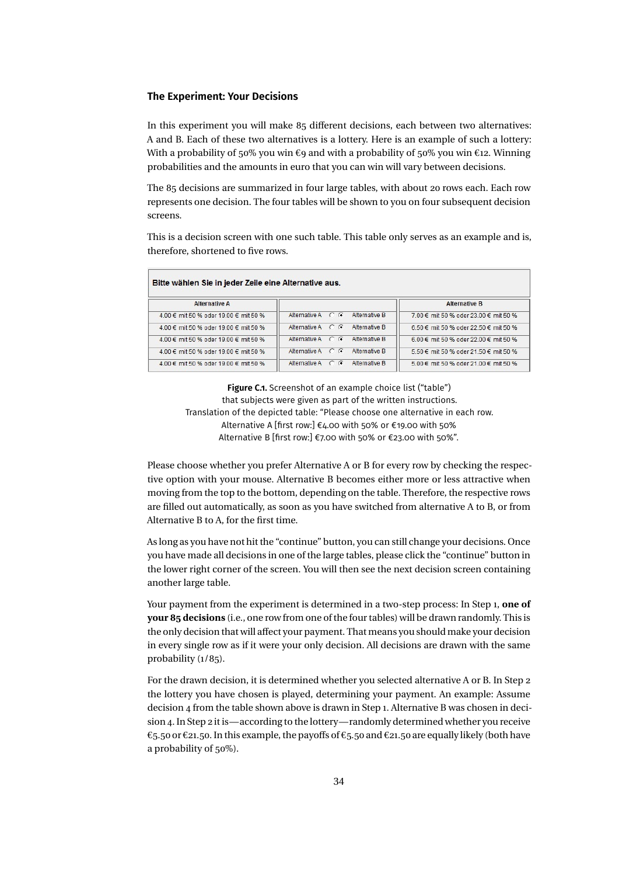#### **The Experiment: Your Decisions**

In this experiment you will make 85 different decisions, each between two alternatives: A and B. Each of these two alternatives is a lottery. Here is an example of such a lottery: With a probability of 50% you win  $\epsilon$ 9 and with a probability of 50% you win  $\epsilon$ 12. Winning probabilities and the amounts in euro that you can win will vary between decisions.

The 85 decisions are summarized in four large tables, with about 20 rows each. Each row represents one decision. The four tables will be shown to you on four subsequent decision screens.

This is a decision screen with one such table. This table only serves as an example and is, therefore, shortened to five rows.

| <b>Alternative A</b>                  |                   |               | <b>Alternative B</b>                  |
|---------------------------------------|-------------------|---------------|---------------------------------------|
| 4.00 € mit 50 % oder 19.00 € mit 50 % | Alternative A C G | Alternative B | 7.00 € mit 50 % oder 23.00 € mit 50 % |
| 4.00 € mit 50 % oder 19.00 € mit 50 % | Alternative A C G | Alternative B | 6.50 € mit 50 % oder 22.50 € mit 50 % |
| 4.00 € mit 50 % oder 19.00 € mit 50 % | Alternative A C G | Alternative B | 6.00 € mit 50 % oder 22.00 € mit 50 % |
| 4.00 € mit 50 % oder 19.00 € mit 50 % | Alternative A C G | Alternative B | 5.50 € mit 50 % oder 21.50 € mit 50 % |
| 4.00 € mit 50 % oder 19.00 € mit 50 % | Alternative A C G | Alternative B | 5.00 € mit 50 % oder 21.00 € mit 50 % |

**Figure C.1.** Screenshot of an example choice list ("table") that subjects were given as part of the written instructions. Translation of the depicted table: "Please choose one alternative in each row. Alternative A [first row:] €4.00 with 50% or €19.00 with 50% Alternative B [first row:] €7.00 with 50% or €23.00 with 50%".

Please choose whether you prefer Alternative A or B for every row by checking the respective option with your mouse. Alternative B becomes either more or less attractive when moving from the top to the bottom, depending on the table. Therefore, the respective rows are filled out automatically, as soon as you have switched from alternative A to B, or from Alternative B to A, for the first time.

As long as you have not hit the "continue" button, you can still change your decisions. Once you have made all decisions in one of the large tables, please click the "continue" button in the lower right corner of the screen. You will then see the next decision screen containing another large table.

Your payment from the experiment is determined in a two-step process: In Step 1, **one of your 85 decisions** (i.e., one row from one of the four tables) will be drawn randomly. This is the only decision that will affect your payment. That means you should make your decision in every single row as if it were your only decision. All decisions are drawn with the same probability ( $1/85$ ).

For the drawn decision, it is determined whether you selected alternative A or B. In Step 2 the lottery you have chosen is played, determining your payment. An example: Assume decision 4 from the table shown above is drawn in Step 1. Alternative B was chosen in decision 4. In Step 2 it is—according to the lottery—randomly determined whether you receive €5.50 or €21.50. In this example, the payoffs of €5.50 and €21.50 are equally likely (both have a probability of 50%).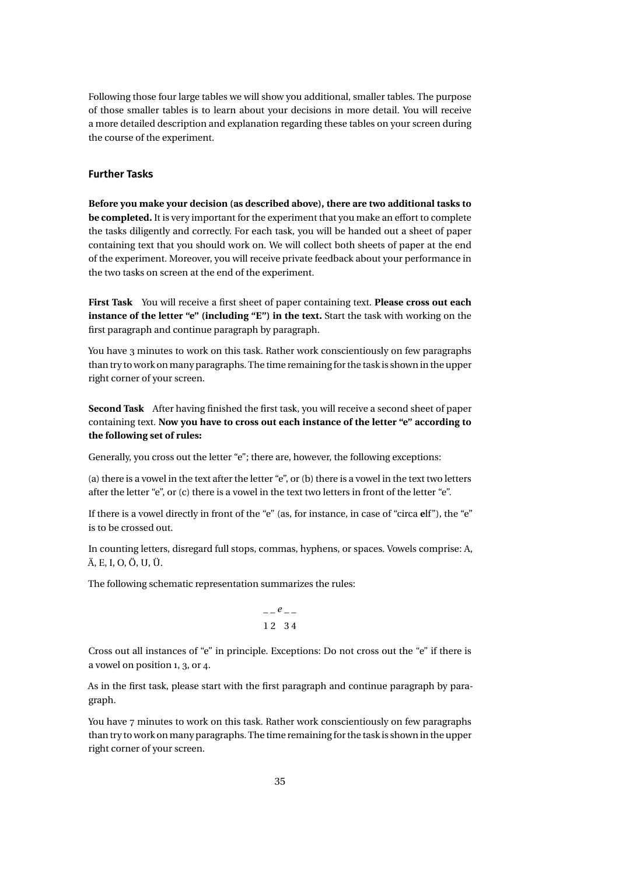Following those four large tables we will show you additional, smaller tables. The purpose of those smaller tables is to learn about your decisions in more detail. You will receive a more detailed description and explanation regarding these tables on your screen during the course of the experiment.

#### **Further Tasks**

**Before you make your decision (as described above), there are two additional tasks to be completed.** It is very important for the experiment that you make an effort to complete the tasks diligently and correctly. For each task, you will be handed out a sheet of paper containing text that you should work on. We will collect both sheets of paper at the end of the experiment. Moreover, you will receive private feedback about your performance in the two tasks on screen at the end of the experiment.

**First Task** You will receive a first sheet of paper containing text. **Please cross out each instance of the letter "e" (including "E") in the text.** Start the task with working on the first paragraph and continue paragraph by paragraph.

You have 3 minutes to work on this task. Rather work conscientiously on few paragraphs than try to work on many paragraphs. The time remainingfor the task is shown in the upper right corner of your screen.

**Second Task** After having finished the first task, you will receive a second sheet of paper containing text. **Now you have to cross out each instance of the letter "e" according to the following set of rules:**

Generally, you cross out the letter "e"; there are, however, the following exceptions:

(a) there is a vowel in the text after the letter "e", or (b) there is a vowel in the text two letters after the letter "e", or (c) there is a vowel in the text two letters in front of the letter "e".

If there is a vowel directly in front of the "e" (as, for instance, in case of "circa **e**lf"), the "e" is to be crossed out.

In counting letters, disregard full stops, commas, hyphens, or spaces. Vowels comprise: A, Ä, E, I, O, Ö, U, Ü.

The following schematic representation summarizes the rules:

$$
\begin{array}{c}\n - -e \\
- \\
12 \quad 34\n \end{array}
$$

Cross out all instances of "e" in principle. Exceptions: Do not cross out the "e" if there is a vowel on position 1, 3, or 4.

As in the first task, please start with the first paragraph and continue paragraph by paragraph.

You have 7 minutes to work on this task. Rather work conscientiously on few paragraphs than try to work on many paragraphs. The time remaining for the task is shown in the upper right corner of your screen.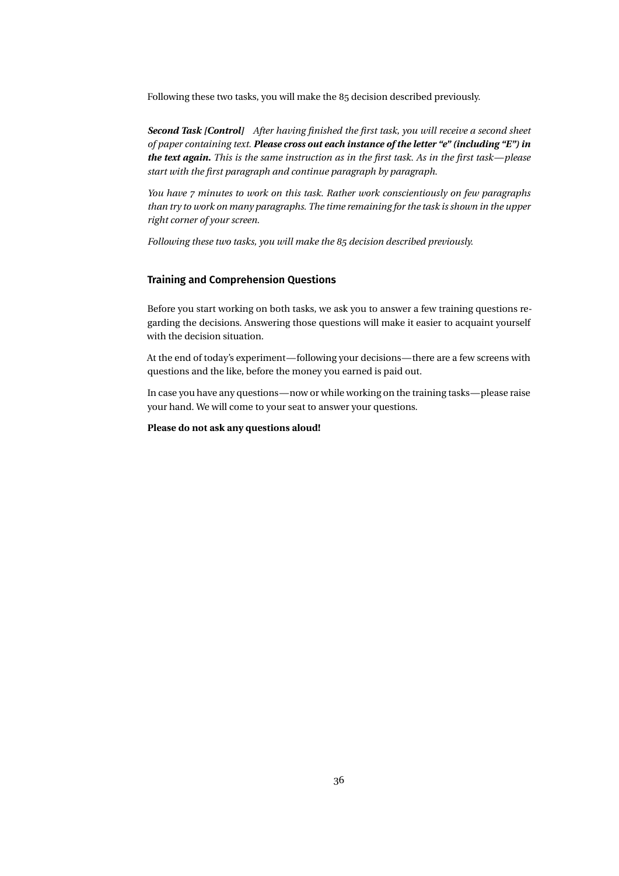Following these two tasks, you will make the 85 decision described previously.

*Second Task [Control] After having finished the first task, you will receive a second sheet of paper containing text. Please cross out each instance of the letter "e" (including "E") in the text again. This is the same instruction as in the first task. As in the first task—please start with the first paragraph and continue paragraph by paragraph.*

*You have 7 minutes to work on this task. Rather work conscientiously on few paragraphs than try to work on many paragraphs. The time remaining for the task is shown in the upper right corner of your screen.*

*Following these two tasks, you will make the 85 decision described previously.*

#### **Training and Comprehension Questions**

Before you start working on both tasks, we ask you to answer a few training questions regarding the decisions. Answering those questions will make it easier to acquaint yourself with the decision situation.

At the end of today's experiment—following your decisions—there are a few screens with questions and the like, before the money you earned is paid out.

In case you have any questions—now or while working on the training tasks—please raise your hand. We will come to your seat to answer your questions.

**Please do not ask any questions aloud!**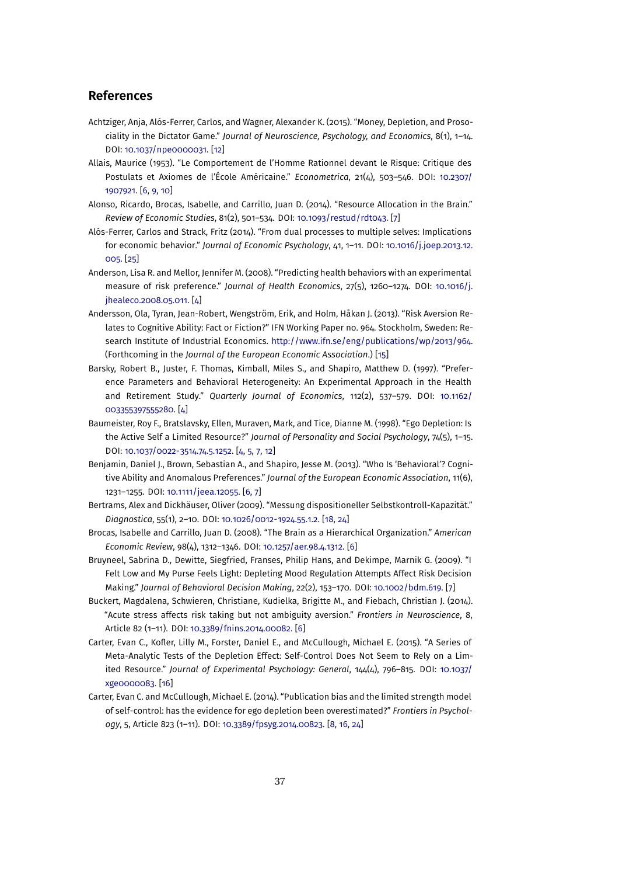#### <span id="page-36-0"></span>**References**

- Achtziger, Anja, Alós-Ferrer, Carlos, and Wagner, Alexander K. (2015). "Money, Depletion, and Prosociality in the Dictator Game." *Journal of Neuroscience, Psychology, and Economics*, 8(1), 1–14. DOI: [10.1037/npe0000031.](http://dx.doi.org/10.1037/npe0000031) [\[12\]](#page-11-0)
- Allais, Maurice (1953). "Le Comportement de l'Homme Rationnel devant le Risque: Critique des Postulats et Axiomes de l'École Américaine." *Econometrica*, 21(4), 503–546. DOI: [10.2307/](http://dx.doi.org/10.2307/1907921) [1907921.](http://dx.doi.org/10.2307/1907921) [\[6,](#page-5-0) [9,](#page-8-0) [10\]](#page-9-0)
- Alonso, Ricardo, Brocas, Isabelle, and Carrillo, Juan D. (2014). "Resource Allocation in the Brain." *Review of Economic Studies*, 81(2), 501–534. DOI: [10.1093/restud/rdt043.](http://dx.doi.org/10.1093/restud/rdt043) [\[7\]](#page-6-0)
- Alós-Ferrer, Carlos and Strack, Fritz (2014). "From dual processes to multiple selves: Implications for economic behavior." *Journal of Economic Psychology*, 41, 1–11. DOI: [10.1016/j.joep.2013.12.](http://dx.doi.org/10.1016/j.joep.2013.12.005) [005.](http://dx.doi.org/10.1016/j.joep.2013.12.005) [\[25\]](#page-24-0)
- Anderson, Lisa R. and Mellor, Jennifer M. (2008). "Predicting health behaviors with an experimental measure of risk preference." *Journal of Health Economics*, 27(5), 1260–1274. DOI: [10.1016/j.](http://dx.doi.org/10.1016/j.jhealeco.2008.05.011) [jhealeco.2008.05.011.](http://dx.doi.org/10.1016/j.jhealeco.2008.05.011) [\[4\]](#page-3-0)
- Andersson, Ola, Tyran, Jean-Robert, Wengström, Erik, and Holm, Håkan J. (2013). "Risk Aversion Relates to Cognitive Ability: Fact or Fiction?" IFN Working Paper no. 964. Stockholm, Sweden: Research Institute of Industrial Economics. [http://www.ifn.se/eng/publications/wp/2013/964.](http://www.ifn.se/eng/publications/wp/2013/964) (Forthcoming in the *Journal of the European Economic Association*.) [\[15\]](#page-14-0)
- Barsky, Robert B., Juster, F. Thomas, Kimball, Miles S., and Shapiro, Matthew D. (1997). "Preference Parameters and Behavioral Heterogeneity: An Experimental Approach in the Health and Retirement Study." *Quarterly Journal of Economics*, 112(2), 537–579. DOI: [10.1162/](http://dx.doi.org/10.1162/003355397555280) [003355397555280.](http://dx.doi.org/10.1162/003355397555280) [\[4\]](#page-3-0)
- Baumeister, Roy F., Bratslavsky, Ellen, Muraven, Mark, and Tice, Dianne M. (1998). "Ego Depletion: Is the Active Self a Limited Resource?" *Journal of Personality and Social Psychology*, 74(5), 1–15. DOI: [10.1037/0022-3514.74.5.1252.](http://dx.doi.org/10.1037/0022-3514.74.5.1252) [\[4,](#page-3-0) [5,](#page-4-0) [7,](#page-6-0) [12\]](#page-11-0)
- Benjamin, Daniel J., Brown, Sebastian A., and Shapiro, Jesse M. (2013). "Who Is 'Behavioral'? Cognitive Ability and Anomalous Preferences." *Journal of the European Economic Association*, 11(6), 1231–1255. DOI: [10.1111/jeea.12055.](http://dx.doi.org/10.1111/jeea.12055) [\[6,](#page-5-0) [7\]](#page-6-0)
- Bertrams, Alex and Dickhäuser, Oliver (2009). "Messung dispositioneller Selbstkontroll-Kapazität." *Diagnostica*, 55(1), 2–10. DOI: [10.1026/0012-1924.55.1.2.](http://dx.doi.org/10.1026/0012-1924.55.1.2) [\[18,](#page-17-0) [24\]](#page-23-0)
- Brocas, Isabelle and Carrillo, Juan D. (2008). "The Brain as a Hierarchical Organization." *American Economic Review*, 98(4), 1312–1346. DOI: [10.1257/aer.98.4.1312.](http://dx.doi.org/10.1257/aer.98.4.1312) [\[6\]](#page-5-0)
- Bruyneel, Sabrina D., Dewitte, Siegfried, Franses, Philip Hans, and Dekimpe, Marnik G. (2009). "I Felt Low and My Purse Feels Light: Depleting Mood Regulation Attempts Affect Risk Decision Making." *Journal of Behavioral Decision Making*, 22(2), 153–170. DOI: [10.1002/bdm.619.](http://dx.doi.org/10.1002/bdm.619) [\[7\]](#page-6-0)
- Buckert, Magdalena, Schwieren, Christiane, Kudielka, Brigitte M., and Fiebach, Christian J. (2014). "Acute stress affects risk taking but not ambiguity aversion." *Frontiers in Neuroscience*, 8, Article 82 (1–11). DOI: [10.3389/fnins.2014.00082.](http://dx.doi.org/10.3389/fnins.2014.00082) [\[6\]](#page-5-0)
- Carter, Evan C., Kofler, Lilly M., Forster, Daniel E., and McCullough, Michael E. (2015). "A Series of Meta-Analytic Tests of the Depletion Effect: Self-Control Does Not Seem to Rely on a Limited Resource." *Journal of Experimental Psychology: General*, 144(4), 796–815. DOI: [10.1037/](http://dx.doi.org/10.1037/xge0000083) [xge0000083.](http://dx.doi.org/10.1037/xge0000083) [\[16\]](#page-15-0)
- Carter, Evan C. and McCullough, Michael E. (2014). "Publication bias and the limited strength model of self-control: has the evidence for ego depletion been overestimated?" *Frontiers in Psychology*, 5, Article 823 (1–11). DOI: [10.3389/fpsyg.2014.00823.](http://dx.doi.org/10.3389/fpsyg.2014.00823) [\[8,](#page-7-0) [16,](#page-15-0) [24\]](#page-23-0)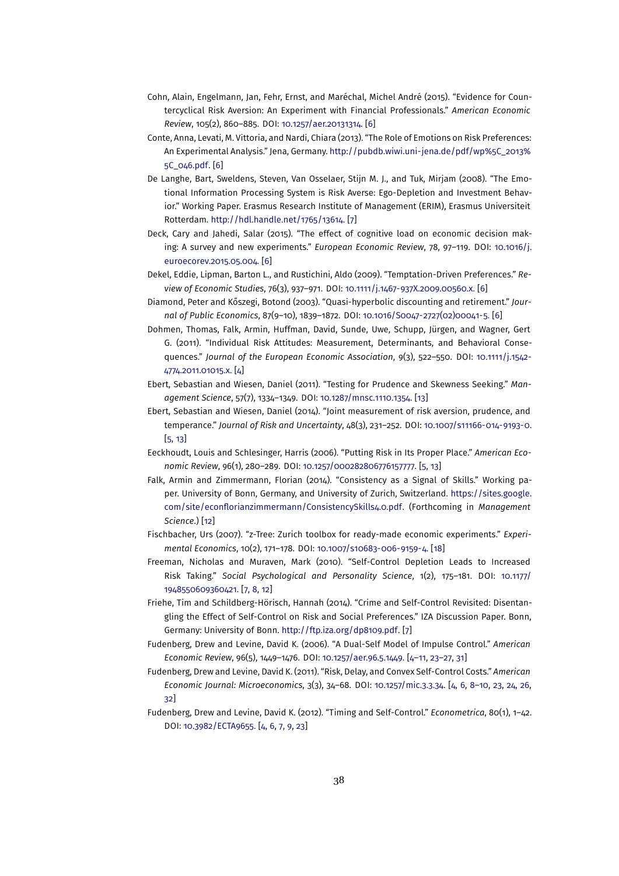- <span id="page-37-0"></span>Cohn, Alain, Engelmann, Jan, Fehr, Ernst, and Maréchal, Michel André (2015). "Evidence for Countercyclical Risk Aversion: An Experiment with Financial Professionals." *American Economic Review*, 105(2), 860–885. DOI: [10.1257/aer.20131314.](http://dx.doi.org/10.1257/aer.20131314) [\[6\]](#page-5-0)
- Conte, Anna, Levati, M. Vittoria, and Nardi, Chiara (2013). "The Role of Emotions on Risk Preferences: An Experimental Analysis." Jena, Germany. [http://pubdb.wiwi.uni-jena.de/pdf/wp%5C\\_2013%](http://pubdb.wiwi.uni-jena.de/pdf/wp%5C_2013%5C_046.pdf) [5C\\_046.pdf.](http://pubdb.wiwi.uni-jena.de/pdf/wp%5C_2013%5C_046.pdf) [\[6\]](#page-5-0)
- De Langhe, Bart, Sweldens, Steven, Van Osselaer, Stijn M. J., and Tuk, Mirjam (2008). "The Emotional Information Processing System is Risk Averse: Ego-Depletion and Investment Behavior." Working Paper. Erasmus Research Institute of Management (ERIM), Erasmus Universiteit Rotterdam. [http://hdl.handle.net/1765/13614.](http://hdl.handle.net/1765/13614) [\[7\]](#page-6-0)
- Deck, Cary and Jahedi, Salar (2015). "The effect of cognitive load on economic decision making: A survey and new experiments." *European Economic Review*, 78, 97–119. DOI: [10.1016/j.](http://dx.doi.org/10.1016/j.euroecorev.2015.05.004) [euroecorev.2015.05.004.](http://dx.doi.org/10.1016/j.euroecorev.2015.05.004) [\[6\]](#page-5-0)
- Dekel, Eddie, Lipman, Barton L., and Rustichini, Aldo (2009). "Temptation-Driven Preferences." *Review of Economic Studies*, 76(3), 937–971. DOI: [10.1111/j.1467-937X.2009.00560.x.](http://dx.doi.org/10.1111/j.1467-937X.2009.00560.x) [\[6\]](#page-5-0)
- Diamond, Peter and Kőszegi, Botond (2003). "Quasi-hyperbolic discounting and retirement." *Journal of Public Economics*, 87(9–10), 1839–1872. DOI: [10.1016/S0047-2727\(02\)00041-5.](http://dx.doi.org/10.1016/S0047-2727(02)00041-5) [\[6\]](#page-5-0)
- Dohmen, Thomas, Falk, Armin, Huffman, David, Sunde, Uwe, Schupp, Jürgen, and Wagner, Gert G. (2011). "Individual Risk Attitudes: Measurement, Determinants, and Behavioral Consequences." *Journal of the European Economic Association*, 9(3), 522–550. DOI: [10.1111/j.1542-](http://dx.doi.org/10.1111/j.1542-4774.2011.01015.x) [4774.2011.01015.x.](http://dx.doi.org/10.1111/j.1542-4774.2011.01015.x) [\[4\]](#page-3-0)
- Ebert, Sebastian and Wiesen, Daniel (2011). "Testing for Prudence and Skewness Seeking." *Management Science*, 57(7), 1334–1349. DOI: [10.1287/mnsc.1110.1354.](http://dx.doi.org/10.1287/mnsc.1110.1354) [\[13\]](#page-12-0)
- Ebert, Sebastian and Wiesen, Daniel (2014). "Joint measurement of risk aversion, prudence, and temperance." *Journal of Risk and Uncertainty*, 48(3), 231–252. DOI: [10.1007/s11166-014-9193-0.](http://dx.doi.org/10.1007/s11166-014-9193-0) [\[5,](#page-4-0) [13\]](#page-12-0)
- Eeckhoudt, Louis and Schlesinger, Harris (2006). "Putting Risk in Its Proper Place." *American Economic Review*, 96(1), 280–289. DOI: [10.1257/000282806776157777.](http://dx.doi.org/10.1257/000282806776157777) [\[5,](#page-4-0) [13\]](#page-12-0)
- Falk, Armin and Zimmermann, Florian (2014). "Consistency as a Signal of Skills." Working paper. University of Bonn, Germany, and University of Zurich, Switzerland. [https://sites.google.](https://sites.google.com/site/econflorianzimmermann/ConsistencySkills4.0.pdf) [com/site/econflorianzimmermann/ConsistencySkills4.0.pdf.](https://sites.google.com/site/econflorianzimmermann/ConsistencySkills4.0.pdf) (Forthcoming in *Management Science*.) [\[12\]](#page-11-0)
- Fischbacher, Urs (2007). "z-Tree: Zurich toolbox for ready-made economic experiments." *Experimental Economics*, 10(2), 171–178. DOI: [10.1007/s10683-006-9159-4.](http://dx.doi.org/10.1007/s10683-006-9159-4) [\[18\]](#page-17-0)
- Freeman, Nicholas and Muraven, Mark (2010). "Self-Control Depletion Leads to Increased Risk Taking." *Social Psychological and Personality Science*, 1(2), 175–181. DOI: [10.1177/](http://dx.doi.org/10.1177/1948550609360421) [1948550609360421.](http://dx.doi.org/10.1177/1948550609360421) [\[7,](#page-6-0) [8,](#page-7-0) [12\]](#page-11-0)
- Friehe, Tim and Schildberg-Hörisch, Hannah (2014). "Crime and Self-Control Revisited: Disentangling the Effect of Self-Control on Risk and Social Preferences." IZA Discussion Paper. Bonn, Germany: University of Bonn. [http://ftp.iza.org/dp8109.pdf.](http://ftp.iza.org/dp8109.pdf) [\[7\]](#page-6-0)
- Fudenberg, Drew and Levine, David K. (2006). "A Dual-Self Model of Impulse Control." *American Economic Review*, 96(5), 1449–1476. DOI: [10.1257/aer.96.5.1449.](http://dx.doi.org/10.1257/aer.96.5.1449) [\[4](#page-3-0)[–11,](#page-10-0) [23](#page-22-0)[–27,](#page-26-0) [31\]](#page-30-0)
- Fudenberg, Drew and Levine, David K. (2011). "Risk, Delay, and Convex Self-Control Costs." *American Economic Journal: Microeconomics*, 3(3), 34–68. DOI: [10.1257/mic.3.3.34.](http://dx.doi.org/10.1257/mic.3.3.34) [\[4,](#page-3-0) [6,](#page-5-0) [8–](#page-7-0)[10,](#page-9-0) [23,](#page-22-0) [24,](#page-23-0) [26,](#page-25-0) [32\]](#page-31-0)
- Fudenberg, Drew and Levine, David K. (2012). "Timing and Self-Control." *Econometrica*, 80(1), 1–42. DOI: [10.3982/ECTA9655.](http://dx.doi.org/10.3982/ECTA9655) [\[4,](#page-3-0) [6,](#page-5-0) [7,](#page-6-0) [9,](#page-8-0) [23\]](#page-22-0)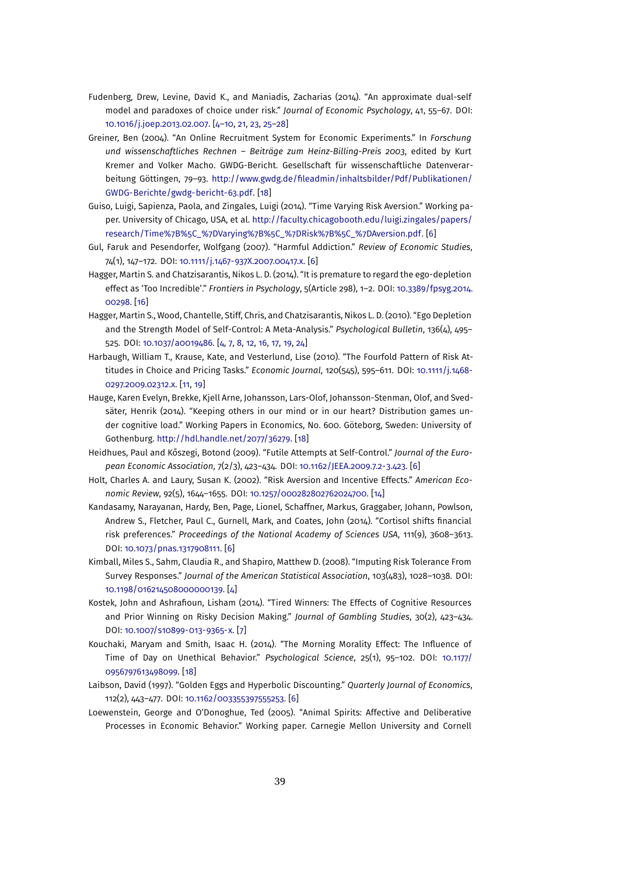- <span id="page-38-0"></span>Fudenberg, Drew, Levine, David K., and Maniadis, Zacharias (2014). "An approximate dual-self model and paradoxes of choice under risk." *Journal of Economic Psychology*, 41, 55–67. DOI: [10.1016/j.joep.2013.02.007.](http://dx.doi.org/10.1016/j.joep.2013.02.007) [\[4](#page-3-0)[–10,](#page-9-0) [21,](#page-20-0) [23,](#page-22-0) [25–](#page-24-0)[28\]](#page-27-0)
- Greiner, Ben (2004). "An Online Recruitment System for Economic Experiments." In *Forschung und wissenschaftliches Rechnen – Beiträge zum Heinz-Billing-Preis 2003*, edited by Kurt Kremer and Volker Macho. GWDG-Bericht. Gesellschaft für wissenschaftliche Datenverarbeitung Göttingen, 79–93. [http://www.gwdg.de/fileadmin/inhaltsbilder/Pdf/Publikationen/](http://www.gwdg.de/fileadmin/inhaltsbilder/Pdf/Publikationen/GWDG-Berichte/gwdg-bericht-63.pdf) [GWDG-Berichte/gwdg-bericht-63.pdf.](http://www.gwdg.de/fileadmin/inhaltsbilder/Pdf/Publikationen/GWDG-Berichte/gwdg-bericht-63.pdf) [\[18\]](#page-17-0)
- Guiso, Luigi, Sapienza, Paola, and Zingales, Luigi (2014). "Time Varying Risk Aversion." Working paper. University of Chicago, USA, et al. [http://faculty.chicagobooth.edu/luigi.zingales/papers/](http://faculty.chicagobooth.edu/luigi.zingales/papers/research/Time%7B%5C_%7DVarying%7B%5C_%7DRisk%7B%5C_%7DAversion.pdf) [research/Time%7B%5C\\_%7DVarying%7B%5C\\_%7DRisk%7B%5C\\_%7DAversion.pdf.](http://faculty.chicagobooth.edu/luigi.zingales/papers/research/Time%7B%5C_%7DVarying%7B%5C_%7DRisk%7B%5C_%7DAversion.pdf) [\[6\]](#page-5-0)
- Gul, Faruk and Pesendorfer, Wolfgang (2007). "Harmful Addiction." *Review of Economic Studies*, 74(1), 147–172. DOI: [10.1111/j.1467-937X.2007.00417.x.](http://dx.doi.org/10.1111/j.1467-937X.2007.00417.x) [\[6\]](#page-5-0)
- Hagger, Martin S. and Chatzisarantis, Nikos L. D. (2014). "It is premature to regard the ego-depletion effect as 'Too Incredible'." *Frontiers in Psychology*, 5(Article 298), 1–2. DOI: [10.3389/fpsyg.2014.](http://dx.doi.org/10.3389/fpsyg.2014.00298) [00298.](http://dx.doi.org/10.3389/fpsyg.2014.00298) [\[16\]](#page-15-0)
- Hagger, Martin S., Wood, Chantelle, Stiff, Chris, and Chatzisarantis, Nikos L. D. (2010). "Ego Depletion and the Strength Model of Self-Control: A Meta-Analysis." *Psychological Bulletin*, 136(4), 495– 525. DOI: [10.1037/a0019486.](http://dx.doi.org/10.1037/a0019486) [\[4,](#page-3-0) [7,](#page-6-0) [8,](#page-7-0) [12,](#page-11-0) [16,](#page-15-0) [17,](#page-16-0) [19,](#page-18-0) [24\]](#page-23-0)
- Harbaugh, William T., Krause, Kate, and Vesterlund, Lise (2010). "The Fourfold Pattern of Risk Attitudes in Choice and Pricing Tasks." *Economic Journal*, 120(545), 595–611. DOI: [10.1111/j.1468-](http://dx.doi.org/10.1111/j.1468-0297.2009.02312.x) [0297.2009.02312.x.](http://dx.doi.org/10.1111/j.1468-0297.2009.02312.x) [\[11,](#page-10-0) [19\]](#page-18-0)
- Hauge, Karen Evelyn, Brekke, Kjell Arne, Johansson, Lars-Olof, Johansson-Stenman, Olof, and Svedsäter, Henrik (2014). "Keeping others in our mind or in our heart? Distribution games under cognitive load." Working Papers in Economics, No. 600. Göteborg, Sweden: University of Gothenburg. [http://hdl.handle.net/2077/36279.](http://hdl.handle.net/2077/36279) [\[18\]](#page-17-0)
- Heidhues, Paul and Kőszegi, Botond (2009). "Futile Attempts at Self-Control." *Journal of the European Economic Association*, 7(2/3), 423–434. DOI: [10.1162/JEEA.2009.7.2-3.423.](http://dx.doi.org/10.1162/JEEA.2009.7.2-3.423) [\[6\]](#page-5-0)
- Holt, Charles A. and Laury, Susan K. (2002). "Risk Aversion and Incentive Effects." *American Economic Review*, 92(5), 1644–1655. DOI: [10.1257/000282802762024700.](http://dx.doi.org/10.1257/000282802762024700) [\[14\]](#page-13-0)
- Kandasamy, Narayanan, Hardy, Ben, Page, Lionel, Schaffner, Markus, Graggaber, Johann, Powlson, Andrew S., Fletcher, Paul C., Gurnell, Mark, and Coates, John (2014). "Cortisol shifts financial risk preferences." *Proceedings of the National Academy of Sciences USA*, 111(9), 3608–3613. DOI: [10.1073/pnas.1317908111.](http://dx.doi.org/10.1073/pnas.1317908111) [\[6\]](#page-5-0)
- Kimball, Miles S., Sahm, Claudia R., and Shapiro, Matthew D. (2008). "Imputing Risk Tolerance From Survey Responses." *Journal of the American Statistical Association*, 103(483), 1028–1038. DOI: [10.1198/016214508000000139.](http://dx.doi.org/10.1198/016214508000000139) [\[4\]](#page-3-0)
- Kostek, John and Ashrafioun, Lisham (2014). "Tired Winners: The Effects of Cognitive Resources and Prior Winning on Risky Decision Making." *Journal of Gambling Studies*, 30(2), 423–434. DOI: [10.1007/s10899-013-9365-x.](http://dx.doi.org/10.1007/s10899-013-9365-x) [\[7\]](#page-6-0)
- Kouchaki, Maryam and Smith, Isaac H. (2014). "The Morning Morality Effect: The Influence of Time of Day on Unethical Behavior." *Psychological Science*, 25(1), 95–102. DOI: [10.1177/](http://dx.doi.org/10.1177/0956797613498099) [0956797613498099.](http://dx.doi.org/10.1177/0956797613498099) [\[18\]](#page-17-0)
- Laibson, David (1997). "Golden Eggs and Hyperbolic Discounting." *Quarterly Journal of Economics*, 112(2), 443–477. DOI: [10.1162/003355397555253.](http://dx.doi.org/10.1162/003355397555253) [\[6\]](#page-5-0)
- Loewenstein, George and O'Donoghue, Ted (2005). "Animal Spirits: Affective and Deliberative Processes in Economic Behavior." Working paper. Carnegie Mellon University and Cornell